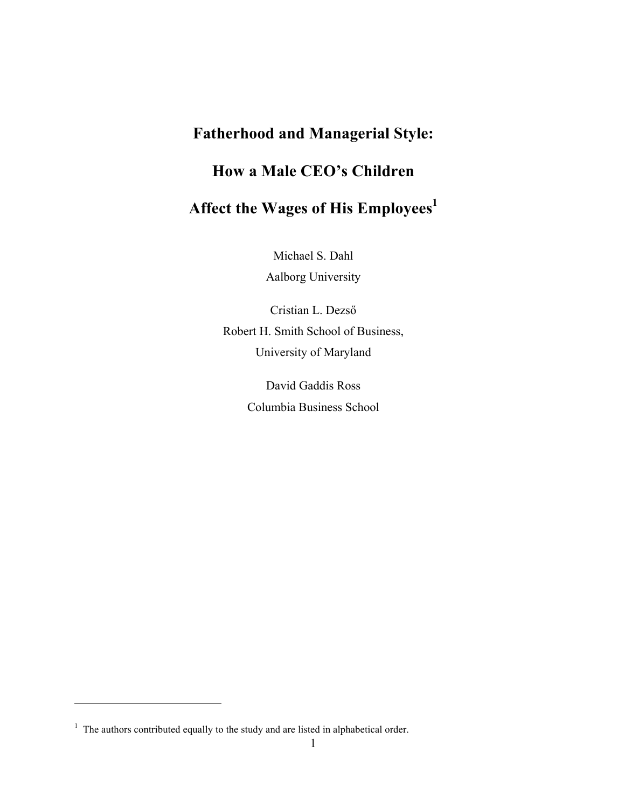# **Fatherhood and Managerial Style: How a Male CEO's Children** Affect the Wages of His Employees<sup>1</sup>

Michael S. Dahl Aalborg University

Cristian L. Dezső Robert H. Smith School of Business, University of Maryland

> David Gaddis Ross Columbia Business School

 $\overline{a}$ 

 $1$  The authors contributed equally to the study and are listed in alphabetical order.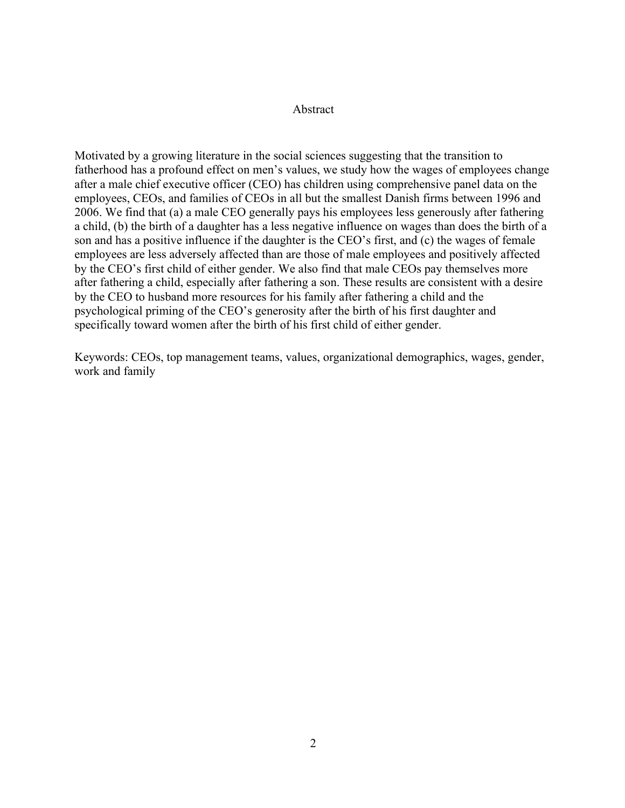## Abstract

Motivated by a growing literature in the social sciences suggesting that the transition to fatherhood has a profound effect on men's values, we study how the wages of employees change after a male chief executive officer (CEO) has children using comprehensive panel data on the employees, CEOs, and families of CEOs in all but the smallest Danish firms between 1996 and 2006. We find that (a) a male CEO generally pays his employees less generously after fathering a child, (b) the birth of a daughter has a less negative influence on wages than does the birth of a son and has a positive influence if the daughter is the CEO's first, and (c) the wages of female employees are less adversely affected than are those of male employees and positively affected by the CEO's first child of either gender. We also find that male CEOs pay themselves more after fathering a child, especially after fathering a son. These results are consistent with a desire by the CEO to husband more resources for his family after fathering a child and the psychological priming of the CEO's generosity after the birth of his first daughter and specifically toward women after the birth of his first child of either gender.

Keywords: CEOs, top management teams, values, organizational demographics, wages, gender, work and family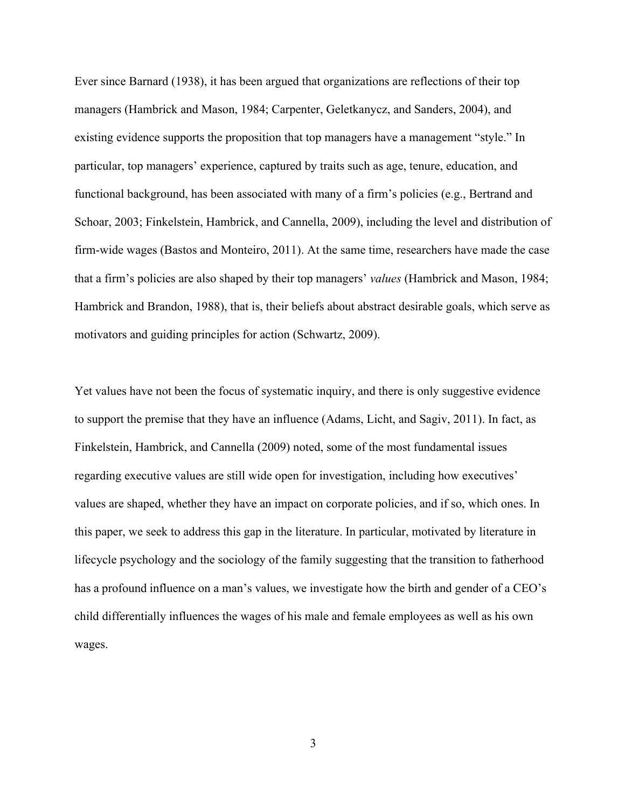Ever since Barnard (1938), it has been argued that organizations are reflections of their top managers (Hambrick and Mason, 1984; Carpenter, Geletkanycz, and Sanders, 2004), and existing evidence supports the proposition that top managers have a management "style." In particular, top managers' experience, captured by traits such as age, tenure, education, and functional background, has been associated with many of a firm's policies (e.g., Bertrand and Schoar, 2003; Finkelstein, Hambrick, and Cannella, 2009), including the level and distribution of firm-wide wages (Bastos and Monteiro, 2011). At the same time, researchers have made the case that a firm's policies are also shaped by their top managers' *values* (Hambrick and Mason, 1984; Hambrick and Brandon, 1988), that is, their beliefs about abstract desirable goals, which serve as motivators and guiding principles for action (Schwartz, 2009).

Yet values have not been the focus of systematic inquiry, and there is only suggestive evidence to support the premise that they have an influence (Adams, Licht, and Sagiv, 2011). In fact, as Finkelstein, Hambrick, and Cannella (2009) noted, some of the most fundamental issues regarding executive values are still wide open for investigation, including how executives' values are shaped, whether they have an impact on corporate policies, and if so, which ones. In this paper, we seek to address this gap in the literature. In particular, motivated by literature in lifecycle psychology and the sociology of the family suggesting that the transition to fatherhood has a profound influence on a man's values, we investigate how the birth and gender of a CEO's child differentially influences the wages of his male and female employees as well as his own wages.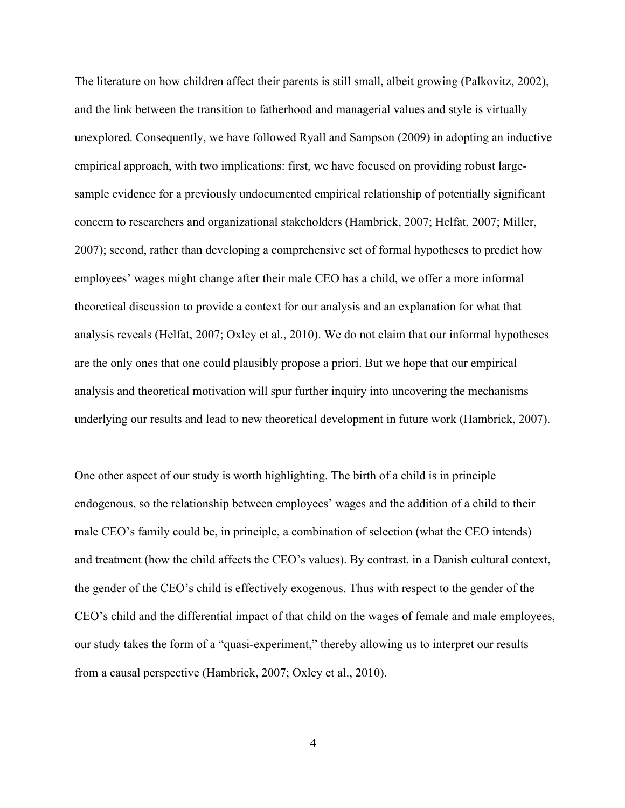The literature on how children affect their parents is still small, albeit growing (Palkovitz, 2002), and the link between the transition to fatherhood and managerial values and style is virtually unexplored. Consequently, we have followed Ryall and Sampson (2009) in adopting an inductive empirical approach, with two implications: first, we have focused on providing robust largesample evidence for a previously undocumented empirical relationship of potentially significant concern to researchers and organizational stakeholders (Hambrick, 2007; Helfat, 2007; Miller, 2007); second, rather than developing a comprehensive set of formal hypotheses to predict how employees' wages might change after their male CEO has a child, we offer a more informal theoretical discussion to provide a context for our analysis and an explanation for what that analysis reveals (Helfat, 2007; Oxley et al., 2010). We do not claim that our informal hypotheses are the only ones that one could plausibly propose a priori. But we hope that our empirical analysis and theoretical motivation will spur further inquiry into uncovering the mechanisms underlying our results and lead to new theoretical development in future work (Hambrick, 2007).

One other aspect of our study is worth highlighting. The birth of a child is in principle endogenous, so the relationship between employees' wages and the addition of a child to their male CEO's family could be, in principle, a combination of selection (what the CEO intends) and treatment (how the child affects the CEO's values). By contrast, in a Danish cultural context, the gender of the CEO's child is effectively exogenous. Thus with respect to the gender of the CEO's child and the differential impact of that child on the wages of female and male employees, our study takes the form of a "quasi-experiment," thereby allowing us to interpret our results from a causal perspective (Hambrick, 2007; Oxley et al., 2010).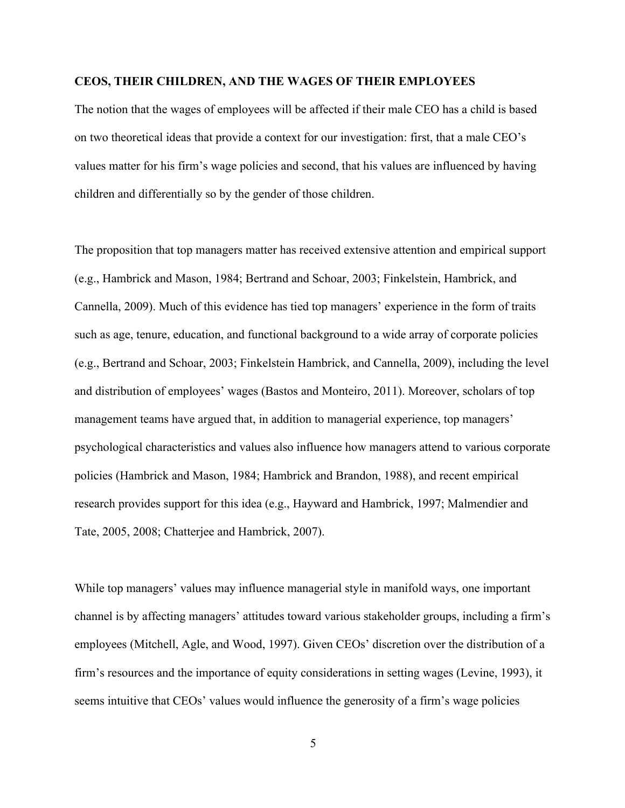## **CEOS, THEIR CHILDREN, AND THE WAGES OF THEIR EMPLOYEES**

The notion that the wages of employees will be affected if their male CEO has a child is based on two theoretical ideas that provide a context for our investigation: first, that a male CEO's values matter for his firm's wage policies and second, that his values are influenced by having children and differentially so by the gender of those children.

The proposition that top managers matter has received extensive attention and empirical support (e.g., Hambrick and Mason, 1984; Bertrand and Schoar, 2003; Finkelstein, Hambrick, and Cannella, 2009). Much of this evidence has tied top managers' experience in the form of traits such as age, tenure, education, and functional background to a wide array of corporate policies (e.g., Bertrand and Schoar, 2003; Finkelstein Hambrick, and Cannella, 2009), including the level and distribution of employees' wages (Bastos and Monteiro, 2011). Moreover, scholars of top management teams have argued that, in addition to managerial experience, top managers' psychological characteristics and values also influence how managers attend to various corporate policies (Hambrick and Mason, 1984; Hambrick and Brandon, 1988), and recent empirical research provides support for this idea (e.g., Hayward and Hambrick, 1997; Malmendier and Tate, 2005, 2008; Chatterjee and Hambrick, 2007).

While top managers' values may influence managerial style in manifold ways, one important channel is by affecting managers' attitudes toward various stakeholder groups, including a firm's employees (Mitchell, Agle, and Wood, 1997). Given CEOs' discretion over the distribution of a firm's resources and the importance of equity considerations in setting wages (Levine, 1993), it seems intuitive that CEOs' values would influence the generosity of a firm's wage policies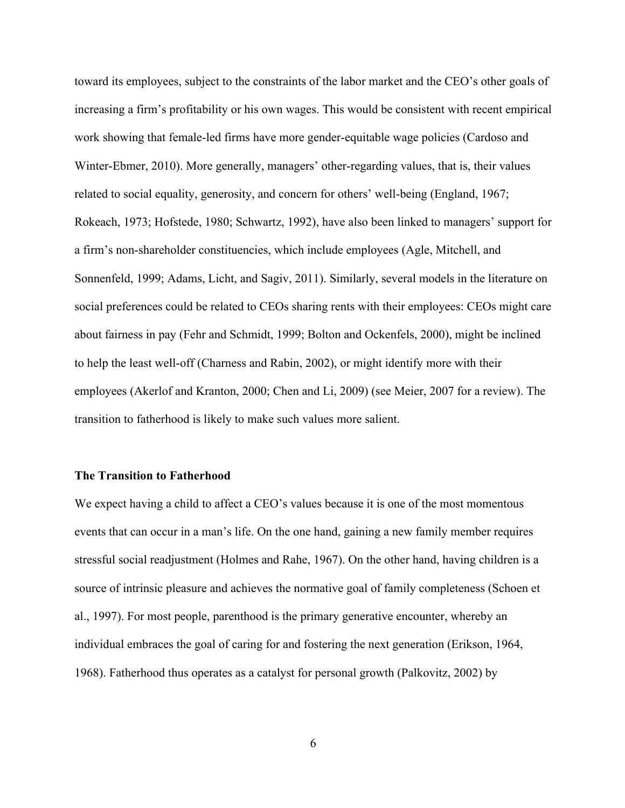toward its employees, subject to the constraints of the labor market and the CEO's other goals of increasing a firm's profitability or his own wages. This would be consistent with recent empirical work showing that female-led firms have more gender-equitable wage policies (Cardoso and Winter-Ebmer, 2010). More generally, managers' other-regarding values, that is, their values related to social equality, generosity, and concern for others' well-being (England, 1967; Rokeach, 1973; Hofstede, 1980; Schwartz, 1992), have also been linked to managers' support for a firm's non-shareholder constituencies, which include employees (Agle, Mitchell, and Sonnenfeld, 1999; Adams, Licht, and Sagiv, 2011). Similarly, several models in the literature on social preferences could be related to CEOs sharing rents with their employees: CEOs might care about fairness in pay (Fehr and Schmidt, 1999; Bolton and Ockenfels, 2000), might be inclined to help the least well-off (Charness and Rabin, 2002), or might identify more with their employees (Akerlof and Kranton, 2000; Chen and Li, 2009) (see Meier, 2007 for a review). The transition to fatherhood is likely to make such values more salient.

## **The Transition to Fatherhood**

We expect having a child to affect a CEO's values because it is one of the most momentous events that can occur in a man's life. On the one hand, gaining a new family member requires stressful social readjustment (Holmes and Rahe, 1967). On the other hand, having children is a source of intrinsic pleasure and achieves the normative goal of family completeness (Schoen et al., 1997). For most people, parenthood is the primary generative encounter, whereby an individual embraces the goal of caring for and fostering the next generation (Erikson, 1964, 1968). Fatherhood thus operates as a catalyst for personal growth (Palkovitz, 2002) by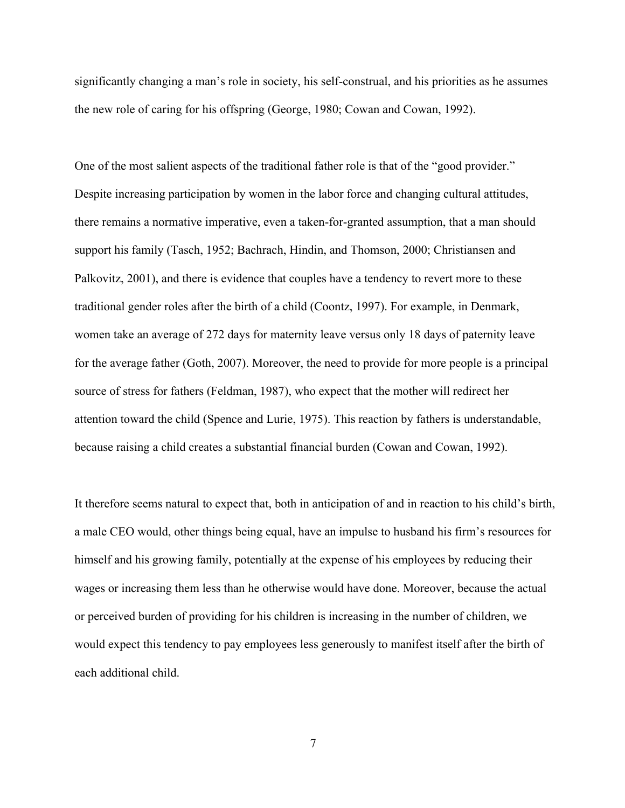significantly changing a man's role in society, his self-construal, and his priorities as he assumes the new role of caring for his offspring (George, 1980; Cowan and Cowan, 1992).

One of the most salient aspects of the traditional father role is that of the "good provider." Despite increasing participation by women in the labor force and changing cultural attitudes, there remains a normative imperative, even a taken-for-granted assumption, that a man should support his family (Tasch, 1952; Bachrach, Hindin, and Thomson, 2000; Christiansen and Palkovitz, 2001), and there is evidence that couples have a tendency to revert more to these traditional gender roles after the birth of a child (Coontz, 1997). For example, in Denmark, women take an average of 272 days for maternity leave versus only 18 days of paternity leave for the average father (Goth, 2007). Moreover, the need to provide for more people is a principal source of stress for fathers (Feldman, 1987), who expect that the mother will redirect her attention toward the child (Spence and Lurie, 1975). This reaction by fathers is understandable, because raising a child creates a substantial financial burden (Cowan and Cowan, 1992).

It therefore seems natural to expect that, both in anticipation of and in reaction to his child's birth, a male CEO would, other things being equal, have an impulse to husband his firm's resources for himself and his growing family, potentially at the expense of his employees by reducing their wages or increasing them less than he otherwise would have done. Moreover, because the actual or perceived burden of providing for his children is increasing in the number of children, we would expect this tendency to pay employees less generously to manifest itself after the birth of each additional child.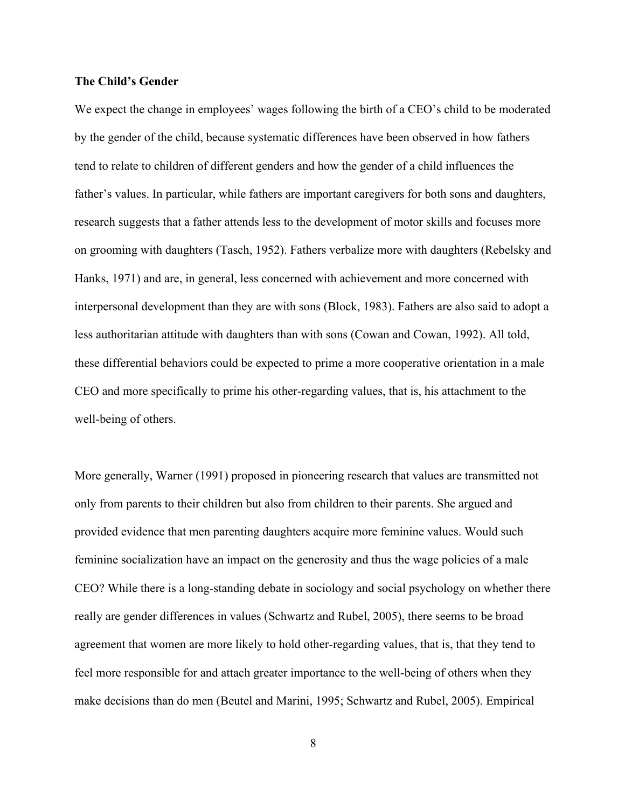## **The Child's Gender**

We expect the change in employees' wages following the birth of a CEO's child to be moderated by the gender of the child, because systematic differences have been observed in how fathers tend to relate to children of different genders and how the gender of a child influences the father's values. In particular, while fathers are important caregivers for both sons and daughters, research suggests that a father attends less to the development of motor skills and focuses more on grooming with daughters (Tasch, 1952). Fathers verbalize more with daughters (Rebelsky and Hanks, 1971) and are, in general, less concerned with achievement and more concerned with interpersonal development than they are with sons (Block, 1983). Fathers are also said to adopt a less authoritarian attitude with daughters than with sons (Cowan and Cowan, 1992). All told, these differential behaviors could be expected to prime a more cooperative orientation in a male CEO and more specifically to prime his other-regarding values, that is, his attachment to the well-being of others.

More generally, Warner (1991) proposed in pioneering research that values are transmitted not only from parents to their children but also from children to their parents. She argued and provided evidence that men parenting daughters acquire more feminine values. Would such feminine socialization have an impact on the generosity and thus the wage policies of a male CEO? While there is a long-standing debate in sociology and social psychology on whether there really are gender differences in values (Schwartz and Rubel, 2005), there seems to be broad agreement that women are more likely to hold other-regarding values, that is, that they tend to feel more responsible for and attach greater importance to the well-being of others when they make decisions than do men (Beutel and Marini, 1995; Schwartz and Rubel, 2005). Empirical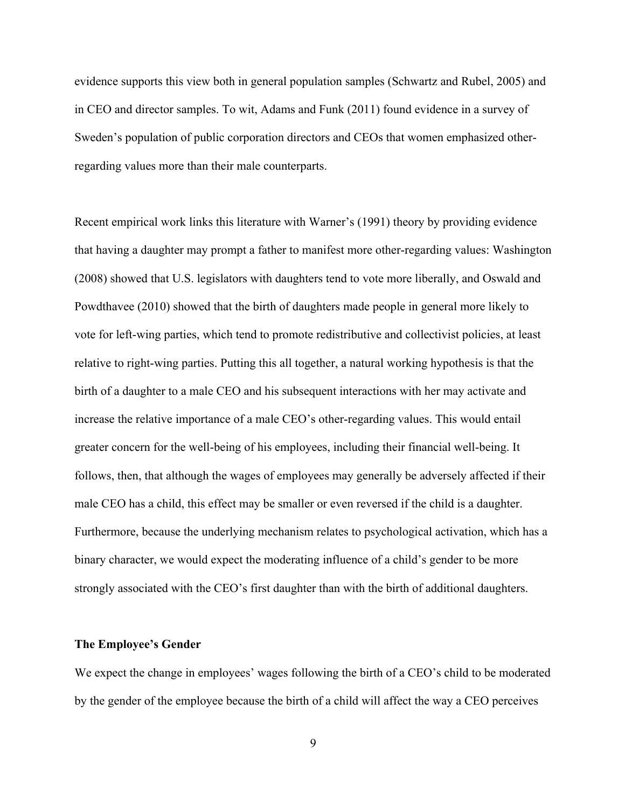evidence supports this view both in general population samples (Schwartz and Rubel, 2005) and in CEO and director samples. To wit, Adams and Funk (2011) found evidence in a survey of Sweden's population of public corporation directors and CEOs that women emphasized otherregarding values more than their male counterparts.

Recent empirical work links this literature with Warner's (1991) theory by providing evidence that having a daughter may prompt a father to manifest more other-regarding values: Washington (2008) showed that U.S. legislators with daughters tend to vote more liberally, and Oswald and Powdthavee (2010) showed that the birth of daughters made people in general more likely to vote for left-wing parties, which tend to promote redistributive and collectivist policies, at least relative to right-wing parties. Putting this all together, a natural working hypothesis is that the birth of a daughter to a male CEO and his subsequent interactions with her may activate and increase the relative importance of a male CEO's other-regarding values. This would entail greater concern for the well-being of his employees, including their financial well-being. It follows, then, that although the wages of employees may generally be adversely affected if their male CEO has a child, this effect may be smaller or even reversed if the child is a daughter. Furthermore, because the underlying mechanism relates to psychological activation, which has a binary character, we would expect the moderating influence of a child's gender to be more strongly associated with the CEO's first daughter than with the birth of additional daughters.

#### **The Employee's Gender**

We expect the change in employees' wages following the birth of a CEO's child to be moderated by the gender of the employee because the birth of a child will affect the way a CEO perceives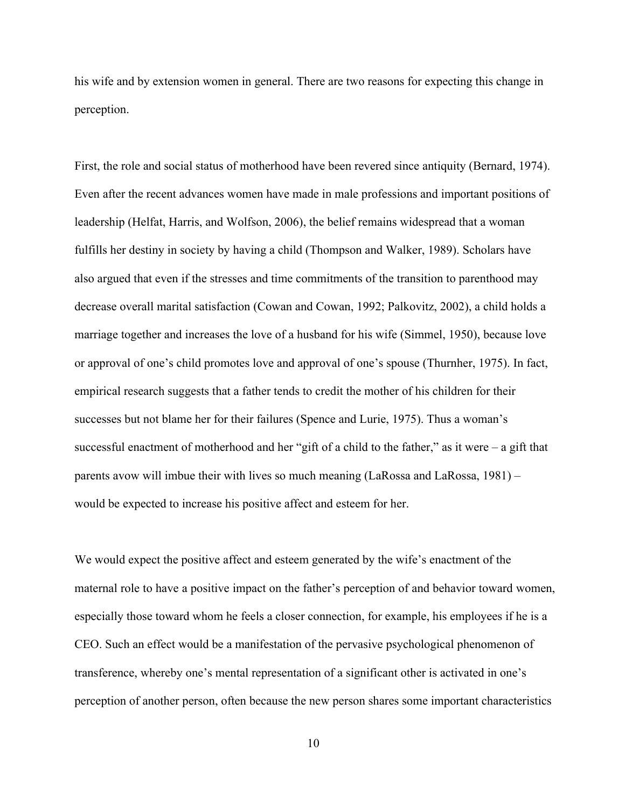his wife and by extension women in general. There are two reasons for expecting this change in perception.

First, the role and social status of motherhood have been revered since antiquity (Bernard, 1974). Even after the recent advances women have made in male professions and important positions of leadership (Helfat, Harris, and Wolfson, 2006), the belief remains widespread that a woman fulfills her destiny in society by having a child (Thompson and Walker, 1989). Scholars have also argued that even if the stresses and time commitments of the transition to parenthood may decrease overall marital satisfaction (Cowan and Cowan, 1992; Palkovitz, 2002), a child holds a marriage together and increases the love of a husband for his wife (Simmel, 1950), because love or approval of one's child promotes love and approval of one's spouse (Thurnher, 1975). In fact, empirical research suggests that a father tends to credit the mother of his children for their successes but not blame her for their failures (Spence and Lurie, 1975). Thus a woman's successful enactment of motherhood and her "gift of a child to the father," as it were  $-$  a gift that parents avow will imbue their with lives so much meaning (LaRossa and LaRossa, 1981) – would be expected to increase his positive affect and esteem for her.

We would expect the positive affect and esteem generated by the wife's enactment of the maternal role to have a positive impact on the father's perception of and behavior toward women, especially those toward whom he feels a closer connection, for example, his employees if he is a CEO. Such an effect would be a manifestation of the pervasive psychological phenomenon of transference, whereby one's mental representation of a significant other is activated in one's perception of another person, often because the new person shares some important characteristics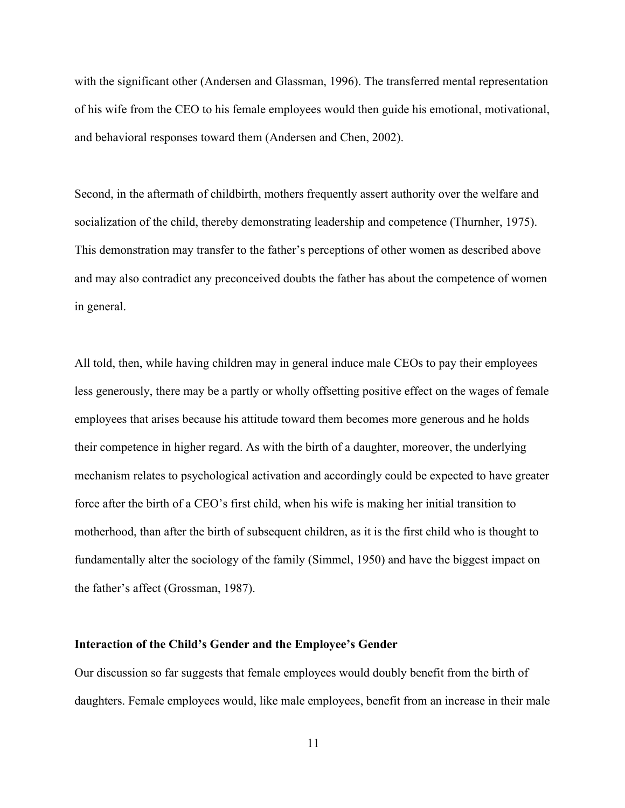with the significant other (Andersen and Glassman, 1996). The transferred mental representation of his wife from the CEO to his female employees would then guide his emotional, motivational, and behavioral responses toward them (Andersen and Chen, 2002).

Second, in the aftermath of childbirth, mothers frequently assert authority over the welfare and socialization of the child, thereby demonstrating leadership and competence (Thurnher, 1975). This demonstration may transfer to the father's perceptions of other women as described above and may also contradict any preconceived doubts the father has about the competence of women in general.

All told, then, while having children may in general induce male CEOs to pay their employees less generously, there may be a partly or wholly offsetting positive effect on the wages of female employees that arises because his attitude toward them becomes more generous and he holds their competence in higher regard. As with the birth of a daughter, moreover, the underlying mechanism relates to psychological activation and accordingly could be expected to have greater force after the birth of a CEO's first child, when his wife is making her initial transition to motherhood, than after the birth of subsequent children, as it is the first child who is thought to fundamentally alter the sociology of the family (Simmel, 1950) and have the biggest impact on the father's affect (Grossman, 1987).

#### **Interaction of the Child's Gender and the Employee's Gender**

Our discussion so far suggests that female employees would doubly benefit from the birth of daughters. Female employees would, like male employees, benefit from an increase in their male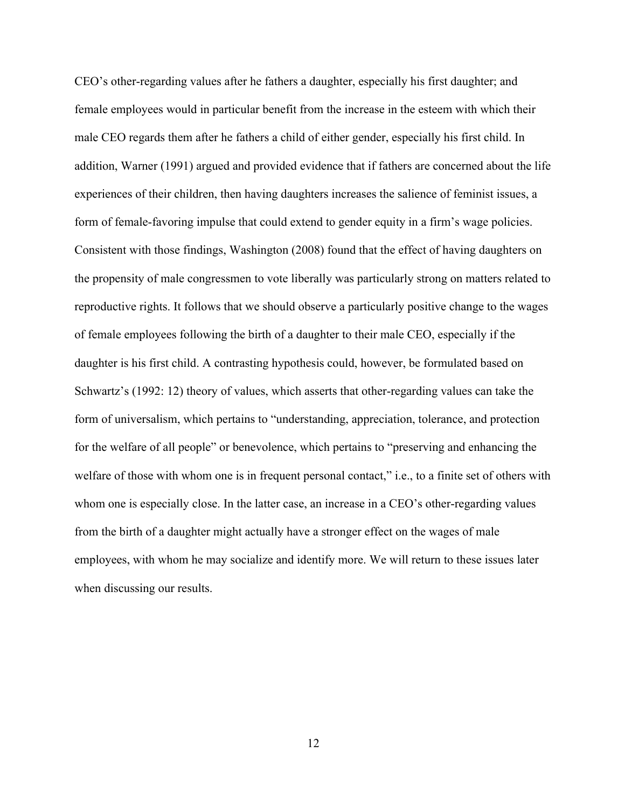CEO's other-regarding values after he fathers a daughter, especially his first daughter; and female employees would in particular benefit from the increase in the esteem with which their male CEO regards them after he fathers a child of either gender, especially his first child. In addition, Warner (1991) argued and provided evidence that if fathers are concerned about the life experiences of their children, then having daughters increases the salience of feminist issues, a form of female-favoring impulse that could extend to gender equity in a firm's wage policies. Consistent with those findings, Washington (2008) found that the effect of having daughters on the propensity of male congressmen to vote liberally was particularly strong on matters related to reproductive rights. It follows that we should observe a particularly positive change to the wages of female employees following the birth of a daughter to their male CEO, especially if the daughter is his first child. A contrasting hypothesis could, however, be formulated based on Schwartz's (1992: 12) theory of values, which asserts that other-regarding values can take the form of universalism, which pertains to "understanding, appreciation, tolerance, and protection for the welfare of all people" or benevolence, which pertains to "preserving and enhancing the welfare of those with whom one is in frequent personal contact," i.e., to a finite set of others with whom one is especially close. In the latter case, an increase in a CEO's other-regarding values from the birth of a daughter might actually have a stronger effect on the wages of male employees, with whom he may socialize and identify more. We will return to these issues later when discussing our results.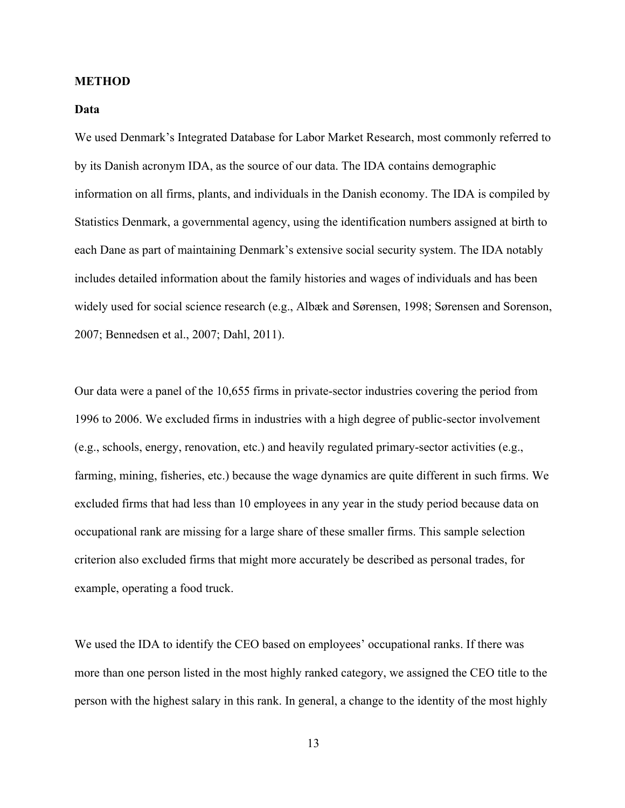## **METHOD**

## **Data**

We used Denmark's Integrated Database for Labor Market Research, most commonly referred to by its Danish acronym IDA, as the source of our data. The IDA contains demographic information on all firms, plants, and individuals in the Danish economy. The IDA is compiled by Statistics Denmark, a governmental agency, using the identification numbers assigned at birth to each Dane as part of maintaining Denmark's extensive social security system. The IDA notably includes detailed information about the family histories and wages of individuals and has been widely used for social science research (e.g., Albæk and Sørensen, 1998; Sørensen and Sorenson, 2007; Bennedsen et al., 2007; Dahl, 2011).

Our data were a panel of the 10,655 firms in private-sector industries covering the period from 1996 to 2006. We excluded firms in industries with a high degree of public-sector involvement (e.g., schools, energy, renovation, etc.) and heavily regulated primary-sector activities (e.g., farming, mining, fisheries, etc.) because the wage dynamics are quite different in such firms. We excluded firms that had less than 10 employees in any year in the study period because data on occupational rank are missing for a large share of these smaller firms. This sample selection criterion also excluded firms that might more accurately be described as personal trades, for example, operating a food truck.

We used the IDA to identify the CEO based on employees' occupational ranks. If there was more than one person listed in the most highly ranked category, we assigned the CEO title to the person with the highest salary in this rank. In general, a change to the identity of the most highly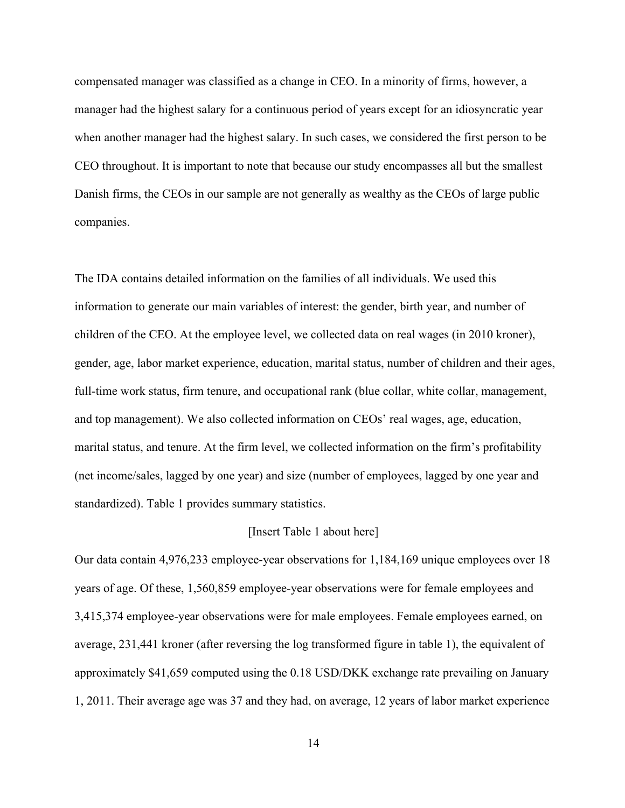compensated manager was classified as a change in CEO. In a minority of firms, however, a manager had the highest salary for a continuous period of years except for an idiosyncratic year when another manager had the highest salary. In such cases, we considered the first person to be CEO throughout. It is important to note that because our study encompasses all but the smallest Danish firms, the CEOs in our sample are not generally as wealthy as the CEOs of large public companies.

The IDA contains detailed information on the families of all individuals. We used this information to generate our main variables of interest: the gender, birth year, and number of children of the CEO. At the employee level, we collected data on real wages (in 2010 kroner), gender, age, labor market experience, education, marital status, number of children and their ages, full-time work status, firm tenure, and occupational rank (blue collar, white collar, management, and top management). We also collected information on CEOs' real wages, age, education, marital status, and tenure. At the firm level, we collected information on the firm's profitability (net income/sales, lagged by one year) and size (number of employees, lagged by one year and standardized). Table 1 provides summary statistics.

#### [Insert Table 1 about here]

Our data contain 4,976,233 employee-year observations for 1,184,169 unique employees over 18 years of age. Of these, 1,560,859 employee-year observations were for female employees and 3,415,374 employee-year observations were for male employees. Female employees earned, on average, 231,441 kroner (after reversing the log transformed figure in table 1), the equivalent of approximately \$41,659 computed using the 0.18 USD/DKK exchange rate prevailing on January 1, 2011. Their average age was 37 and they had, on average, 12 years of labor market experience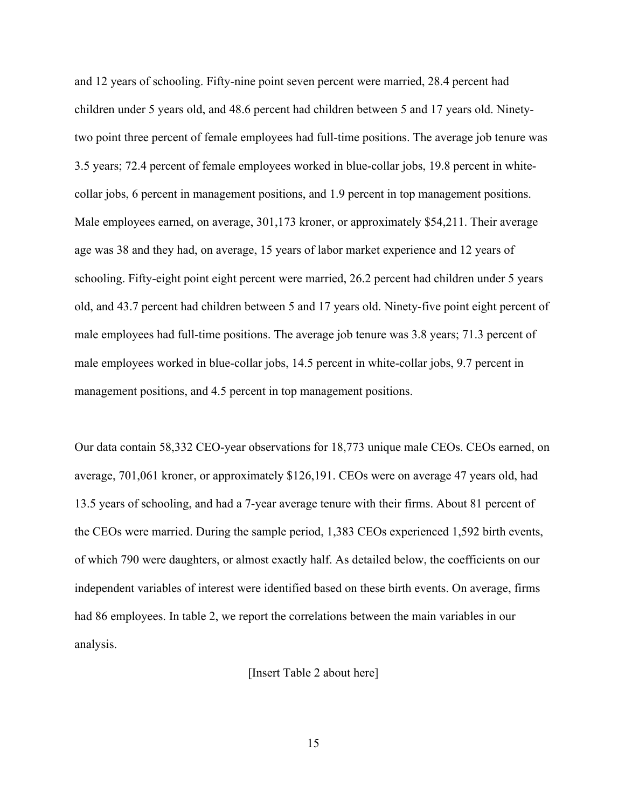and 12 years of schooling. Fifty-nine point seven percent were married, 28.4 percent had children under 5 years old, and 48.6 percent had children between 5 and 17 years old. Ninetytwo point three percent of female employees had full-time positions. The average job tenure was 3.5 years; 72.4 percent of female employees worked in blue-collar jobs, 19.8 percent in whitecollar jobs, 6 percent in management positions, and 1.9 percent in top management positions. Male employees earned, on average, 301,173 kroner, or approximately \$54,211. Their average age was 38 and they had, on average, 15 years of labor market experience and 12 years of schooling. Fifty-eight point eight percent were married, 26.2 percent had children under 5 years old, and 43.7 percent had children between 5 and 17 years old. Ninety-five point eight percent of male employees had full-time positions. The average job tenure was 3.8 years; 71.3 percent of male employees worked in blue-collar jobs, 14.5 percent in white-collar jobs, 9.7 percent in management positions, and 4.5 percent in top management positions.

Our data contain 58,332 CEO-year observations for 18,773 unique male CEOs. CEOs earned, on average, 701,061 kroner, or approximately \$126,191. CEOs were on average 47 years old, had 13.5 years of schooling, and had a 7-year average tenure with their firms. About 81 percent of the CEOs were married. During the sample period, 1,383 CEOs experienced 1,592 birth events, of which 790 were daughters, or almost exactly half. As detailed below, the coefficients on our independent variables of interest were identified based on these birth events. On average, firms had 86 employees. In table 2, we report the correlations between the main variables in our analysis.

[Insert Table 2 about here]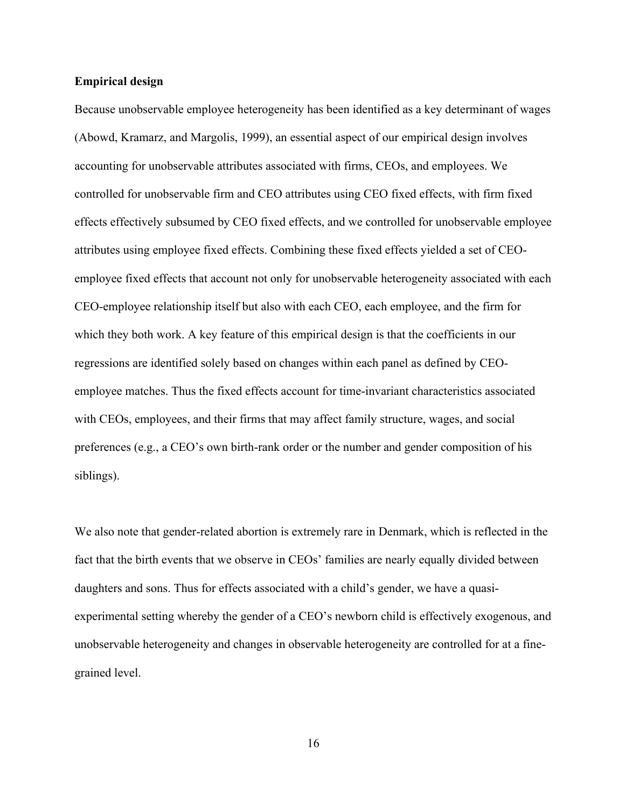## **Empirical design**

Because unobservable employee heterogeneity has been identified as a key determinant of wages (Abowd, Kramarz, and Margolis, 1999), an essential aspect of our empirical design involves accounting for unobservable attributes associated with firms, CEOs, and employees. We controlled for unobservable firm and CEO attributes using CEO fixed effects, with firm fixed effects effectively subsumed by CEO fixed effects, and we controlled for unobservable employee attributes using employee fixed effects. Combining these fixed effects yielded a set of CEOemployee fixed effects that account not only for unobservable heterogeneity associated with each CEO-employee relationship itself but also with each CEO, each employee, and the firm for which they both work. A key feature of this empirical design is that the coefficients in our regressions are identified solely based on changes within each panel as defined by CEOemployee matches. Thus the fixed effects account for time-invariant characteristics associated with CEOs, employees, and their firms that may affect family structure, wages, and social preferences (e.g., a CEO's own birth-rank order or the number and gender composition of his siblings).

We also note that gender-related abortion is extremely rare in Denmark, which is reflected in the fact that the birth events that we observe in CEOs' families are nearly equally divided between daughters and sons. Thus for effects associated with a child's gender, we have a quasiexperimental setting whereby the gender of a CEO's newborn child is effectively exogenous, and unobservable heterogeneity and changes in observable heterogeneity are controlled for at a finegrained level.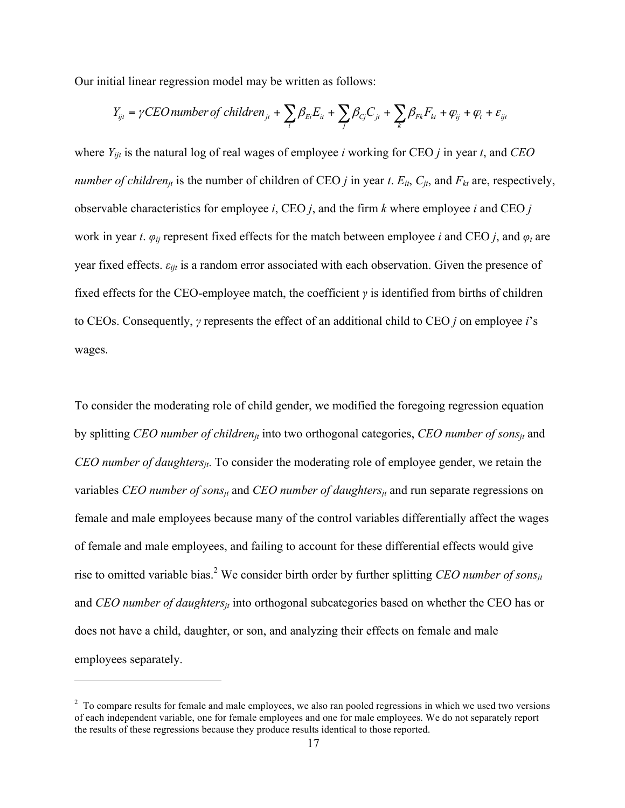Our initial linear regression model may be written as follows:

$$
Y_{ijt} = \gamma CEO\ number\ of\ children_{jt} + \sum_{i} \beta_{Ei} E_{it} + \sum_{j} \beta_{Cj} C_{jt} + \sum_{k} \beta_{Fk} F_{kt} + \varphi_{ij} + \varphi_{t} + \varepsilon_{ijt}
$$

where *Yijt* is the natural log of real wages of employee *i* working for CEO *j* in year *t*, and *CEO number of children<sub>jt</sub>* is the number of children of CEO *j* in year *t*.  $E_{it}$ ,  $C_{it}$ , and  $F_{kt}$  are, respectively, observable characteristics for employee *i*, CEO *j*, and the firm *k* where employee *i* and CEO *j* work in year *t*.  $\varphi_{ii}$  represent fixed effects for the match between employee *i* and CEO *j*, and  $\varphi_t$  are year fixed effects.  $\varepsilon_{i}$  is a random error associated with each observation. Given the presence of fixed effects for the CEO-employee match, the coefficient *γ* is identified from births of children to CEOs. Consequently, *γ* represents the effect of an additional child to CEO *j* on employee *i*'s wages.

To consider the moderating role of child gender, we modified the foregoing regression equation by splitting *CEO number of childrenjt* into two orthogonal categories, *CEO number of sonsjt* and *CEO number of daughtersjt*. To consider the moderating role of employee gender, we retain the variables *CEO number of sons<sub>it</sub>* and *CEO number of daughters<sub>it</sub>* and run separate regressions on female and male employees because many of the control variables differentially affect the wages of female and male employees, and failing to account for these differential effects would give rise to omitted variable bias.<sup>2</sup> We consider birth order by further splitting *CEO number of sons<sub>jt</sub>* and *CEO number of daughters<sub>it</sub>* into orthogonal subcategories based on whether the CEO has or does not have a child, daughter, or son, and analyzing their effects on female and male employees separately.

 $\overline{a}$ 

<sup>&</sup>lt;sup>2</sup> To compare results for female and male employees, we also ran pooled regressions in which we used two versions of each independent variable, one for female employees and one for male employees. We do not separately report the results of these regressions because they produce results identical to those reported.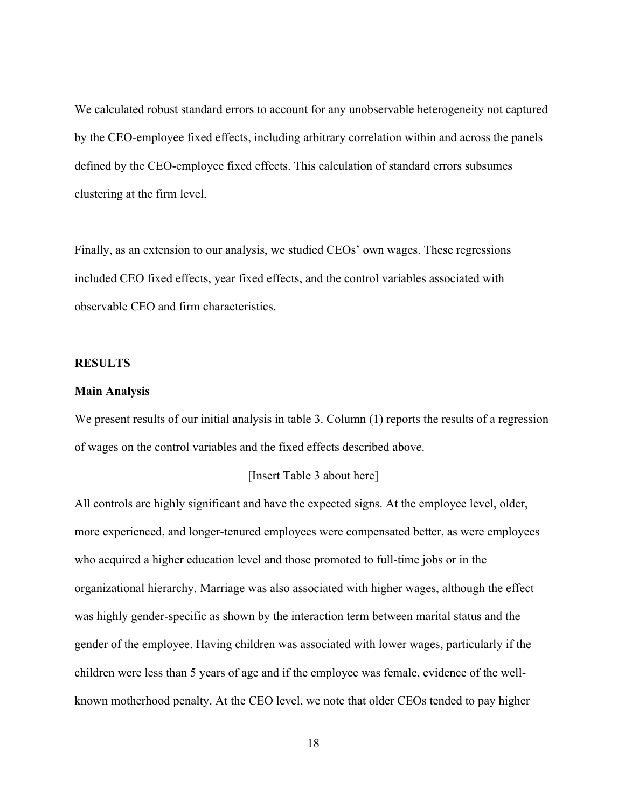We calculated robust standard errors to account for any unobservable heterogeneity not captured by the CEO-employee fixed effects, including arbitrary correlation within and across the panels defined by the CEO-employee fixed effects. This calculation of standard errors subsumes clustering at the firm level.

Finally, as an extension to our analysis, we studied CEOs' own wages. These regressions included CEO fixed effects, year fixed effects, and the control variables associated with observable CEO and firm characteristics.

#### **RESULTS**

#### **Main Analysis**

We present results of our initial analysis in table 3. Column (1) reports the results of a regression of wages on the control variables and the fixed effects described above.

## [Insert Table 3 about here]

All controls are highly significant and have the expected signs. At the employee level, older, more experienced, and longer-tenured employees were compensated better, as were employees who acquired a higher education level and those promoted to full-time jobs or in the organizational hierarchy. Marriage was also associated with higher wages, although the effect was highly gender-specific as shown by the interaction term between marital status and the gender of the employee. Having children was associated with lower wages, particularly if the children were less than 5 years of age and if the employee was female, evidence of the wellknown motherhood penalty. At the CEO level, we note that older CEOs tended to pay higher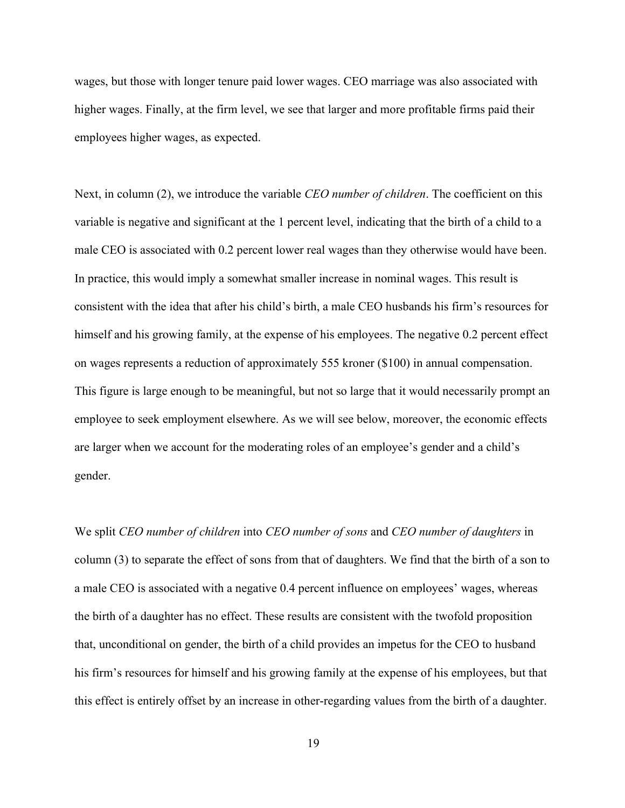wages, but those with longer tenure paid lower wages. CEO marriage was also associated with higher wages. Finally, at the firm level, we see that larger and more profitable firms paid their employees higher wages, as expected.

Next, in column (2), we introduce the variable *CEO number of children*. The coefficient on this variable is negative and significant at the 1 percent level, indicating that the birth of a child to a male CEO is associated with 0.2 percent lower real wages than they otherwise would have been. In practice, this would imply a somewhat smaller increase in nominal wages. This result is consistent with the idea that after his child's birth, a male CEO husbands his firm's resources for himself and his growing family, at the expense of his employees. The negative 0.2 percent effect on wages represents a reduction of approximately 555 kroner (\$100) in annual compensation. This figure is large enough to be meaningful, but not so large that it would necessarily prompt an employee to seek employment elsewhere. As we will see below, moreover, the economic effects are larger when we account for the moderating roles of an employee's gender and a child's gender.

We split *CEO number of children* into *CEO number of sons* and *CEO number of daughters* in column (3) to separate the effect of sons from that of daughters. We find that the birth of a son to a male CEO is associated with a negative 0.4 percent influence on employees' wages, whereas the birth of a daughter has no effect. These results are consistent with the twofold proposition that, unconditional on gender, the birth of a child provides an impetus for the CEO to husband his firm's resources for himself and his growing family at the expense of his employees, but that this effect is entirely offset by an increase in other-regarding values from the birth of a daughter.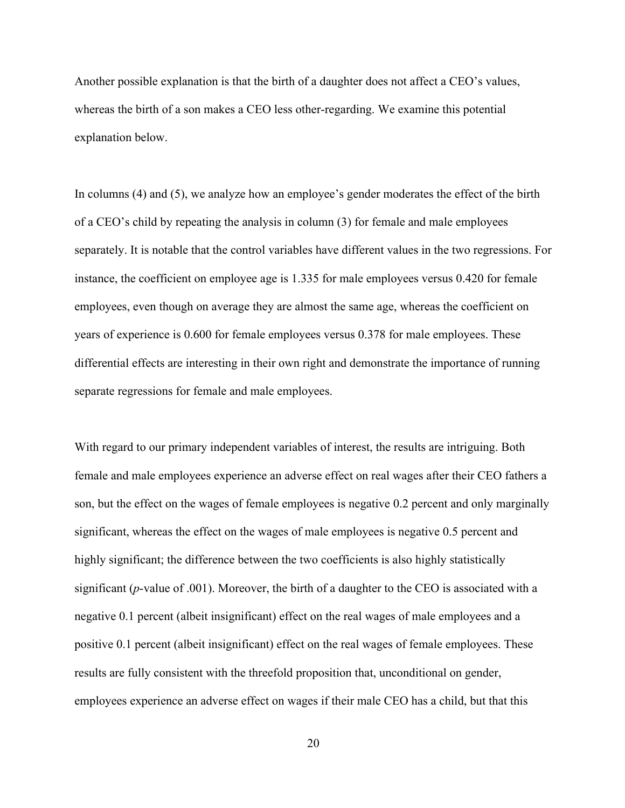Another possible explanation is that the birth of a daughter does not affect a CEO's values, whereas the birth of a son makes a CEO less other-regarding. We examine this potential explanation below.

In columns (4) and (5), we analyze how an employee's gender moderates the effect of the birth of a CEO's child by repeating the analysis in column (3) for female and male employees separately. It is notable that the control variables have different values in the two regressions. For instance, the coefficient on employee age is 1.335 for male employees versus 0.420 for female employees, even though on average they are almost the same age, whereas the coefficient on years of experience is 0.600 for female employees versus 0.378 for male employees. These differential effects are interesting in their own right and demonstrate the importance of running separate regressions for female and male employees.

With regard to our primary independent variables of interest, the results are intriguing. Both female and male employees experience an adverse effect on real wages after their CEO fathers a son, but the effect on the wages of female employees is negative 0.2 percent and only marginally significant, whereas the effect on the wages of male employees is negative 0.5 percent and highly significant; the difference between the two coefficients is also highly statistically significant (*p*-value of .001). Moreover, the birth of a daughter to the CEO is associated with a negative 0.1 percent (albeit insignificant) effect on the real wages of male employees and a positive 0.1 percent (albeit insignificant) effect on the real wages of female employees. These results are fully consistent with the threefold proposition that, unconditional on gender, employees experience an adverse effect on wages if their male CEO has a child, but that this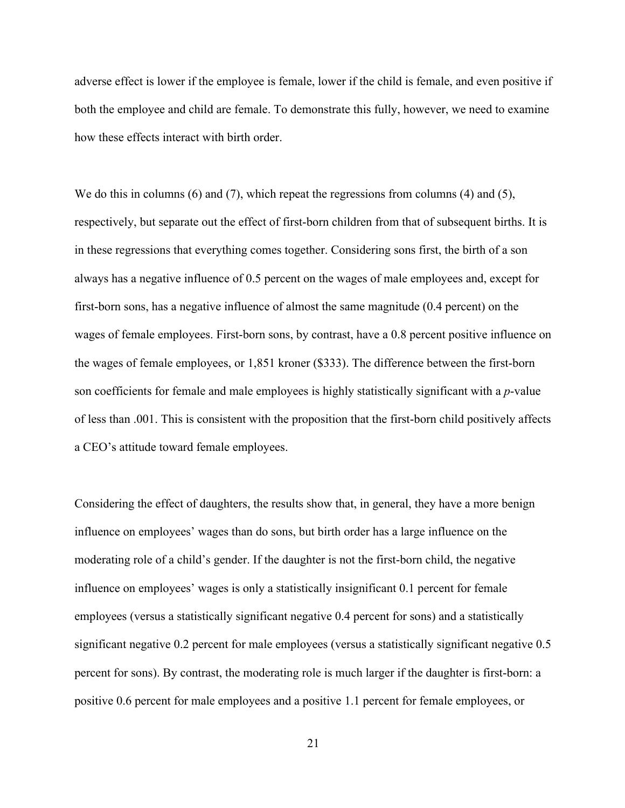adverse effect is lower if the employee is female, lower if the child is female, and even positive if both the employee and child are female. To demonstrate this fully, however, we need to examine how these effects interact with birth order.

We do this in columns  $(6)$  and  $(7)$ , which repeat the regressions from columns  $(4)$  and  $(5)$ , respectively, but separate out the effect of first-born children from that of subsequent births. It is in these regressions that everything comes together. Considering sons first, the birth of a son always has a negative influence of 0.5 percent on the wages of male employees and, except for first-born sons, has a negative influence of almost the same magnitude (0.4 percent) on the wages of female employees. First-born sons, by contrast, have a 0.8 percent positive influence on the wages of female employees, or 1,851 kroner (\$333). The difference between the first-born son coefficients for female and male employees is highly statistically significant with a *p*-value of less than .001. This is consistent with the proposition that the first-born child positively affects a CEO's attitude toward female employees.

Considering the effect of daughters, the results show that, in general, they have a more benign influence on employees' wages than do sons, but birth order has a large influence on the moderating role of a child's gender. If the daughter is not the first-born child, the negative influence on employees' wages is only a statistically insignificant 0.1 percent for female employees (versus a statistically significant negative 0.4 percent for sons) and a statistically significant negative 0.2 percent for male employees (versus a statistically significant negative 0.5 percent for sons). By contrast, the moderating role is much larger if the daughter is first-born: a positive 0.6 percent for male employees and a positive 1.1 percent for female employees, or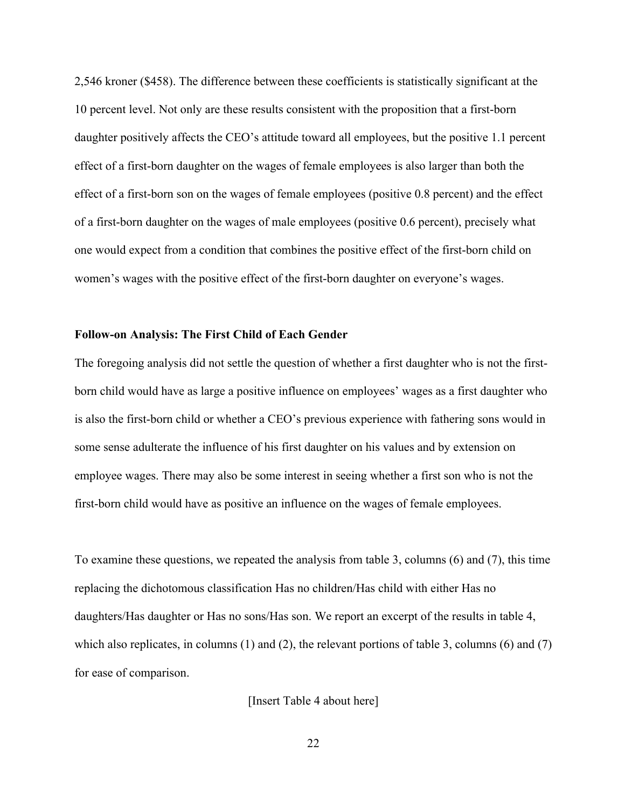2,546 kroner (\$458). The difference between these coefficients is statistically significant at the 10 percent level. Not only are these results consistent with the proposition that a first-born daughter positively affects the CEO's attitude toward all employees, but the positive 1.1 percent effect of a first-born daughter on the wages of female employees is also larger than both the effect of a first-born son on the wages of female employees (positive 0.8 percent) and the effect of a first-born daughter on the wages of male employees (positive 0.6 percent), precisely what one would expect from a condition that combines the positive effect of the first-born child on women's wages with the positive effect of the first-born daughter on everyone's wages.

## **Follow-on Analysis: The First Child of Each Gender**

The foregoing analysis did not settle the question of whether a first daughter who is not the firstborn child would have as large a positive influence on employees' wages as a first daughter who is also the first-born child or whether a CEO's previous experience with fathering sons would in some sense adulterate the influence of his first daughter on his values and by extension on employee wages. There may also be some interest in seeing whether a first son who is not the first-born child would have as positive an influence on the wages of female employees.

To examine these questions, we repeated the analysis from table 3, columns (6) and (7), this time replacing the dichotomous classification Has no children/Has child with either Has no daughters/Has daughter or Has no sons/Has son. We report an excerpt of the results in table 4, which also replicates, in columns (1) and (2), the relevant portions of table 3, columns (6) and (7) for ease of comparison.

[Insert Table 4 about here]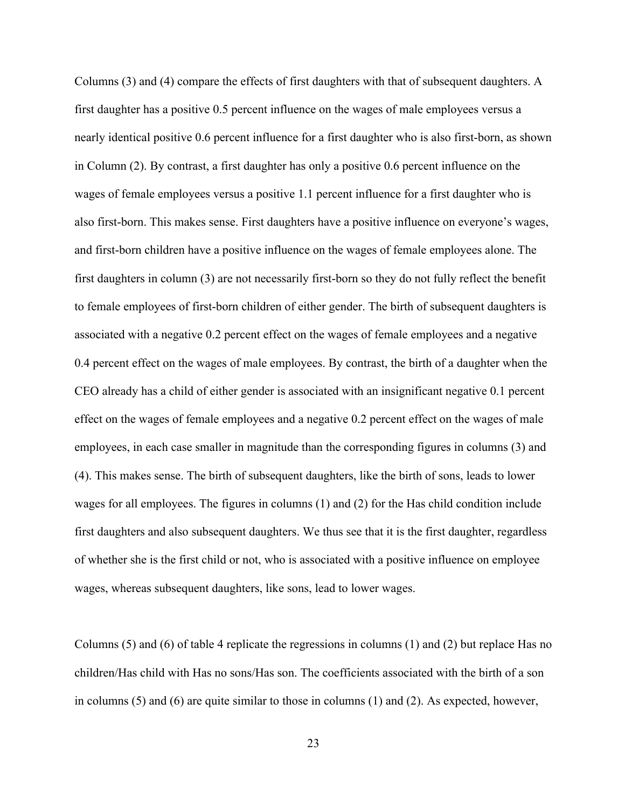Columns (3) and (4) compare the effects of first daughters with that of subsequent daughters. A first daughter has a positive 0.5 percent influence on the wages of male employees versus a nearly identical positive 0.6 percent influence for a first daughter who is also first-born, as shown in Column (2). By contrast, a first daughter has only a positive 0.6 percent influence on the wages of female employees versus a positive 1.1 percent influence for a first daughter who is also first-born. This makes sense. First daughters have a positive influence on everyone's wages, and first-born children have a positive influence on the wages of female employees alone. The first daughters in column (3) are not necessarily first-born so they do not fully reflect the benefit to female employees of first-born children of either gender. The birth of subsequent daughters is associated with a negative 0.2 percent effect on the wages of female employees and a negative 0.4 percent effect on the wages of male employees. By contrast, the birth of a daughter when the CEO already has a child of either gender is associated with an insignificant negative 0.1 percent effect on the wages of female employees and a negative 0.2 percent effect on the wages of male employees, in each case smaller in magnitude than the corresponding figures in columns (3) and (4). This makes sense. The birth of subsequent daughters, like the birth of sons, leads to lower wages for all employees. The figures in columns (1) and (2) for the Has child condition include first daughters and also subsequent daughters. We thus see that it is the first daughter, regardless of whether she is the first child or not, who is associated with a positive influence on employee wages, whereas subsequent daughters, like sons, lead to lower wages.

Columns (5) and (6) of table 4 replicate the regressions in columns (1) and (2) but replace Has no children/Has child with Has no sons/Has son. The coefficients associated with the birth of a son in columns (5) and (6) are quite similar to those in columns (1) and (2). As expected, however,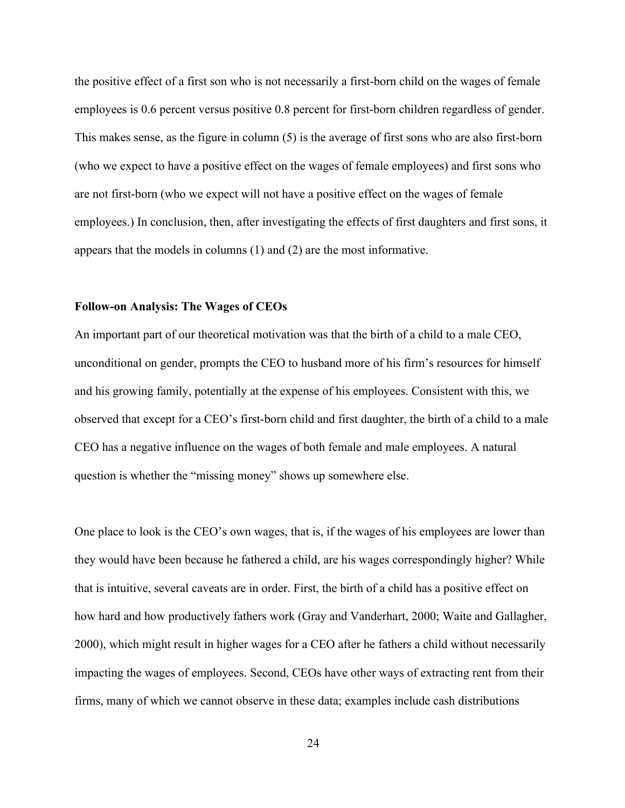the positive effect of a first son who is not necessarily a first-born child on the wages of female employees is 0.6 percent versus positive 0.8 percent for first-born children regardless of gender. This makes sense, as the figure in column (5) is the average of first sons who are also first-born (who we expect to have a positive effect on the wages of female employees) and first sons who are not first-born (who we expect will not have a positive effect on the wages of female employees.) In conclusion, then, after investigating the effects of first daughters and first sons, it appears that the models in columns (1) and (2) are the most informative.

## **Follow-on Analysis: The Wages of CEOs**

An important part of our theoretical motivation was that the birth of a child to a male CEO, unconditional on gender, prompts the CEO to husband more of his firm's resources for himself and his growing family, potentially at the expense of his employees. Consistent with this, we observed that except for a CEO's first-born child and first daughter, the birth of a child to a male CEO has a negative influence on the wages of both female and male employees. A natural question is whether the "missing money" shows up somewhere else.

One place to look is the CEO's own wages, that is, if the wages of his employees are lower than they would have been because he fathered a child, are his wages correspondingly higher? While that is intuitive, several caveats are in order. First, the birth of a child has a positive effect on how hard and how productively fathers work (Gray and Vanderhart, 2000; Waite and Gallagher, 2000), which might result in higher wages for a CEO after he fathers a child without necessarily impacting the wages of employees. Second, CEOs have other ways of extracting rent from their firms, many of which we cannot observe in these data; examples include cash distributions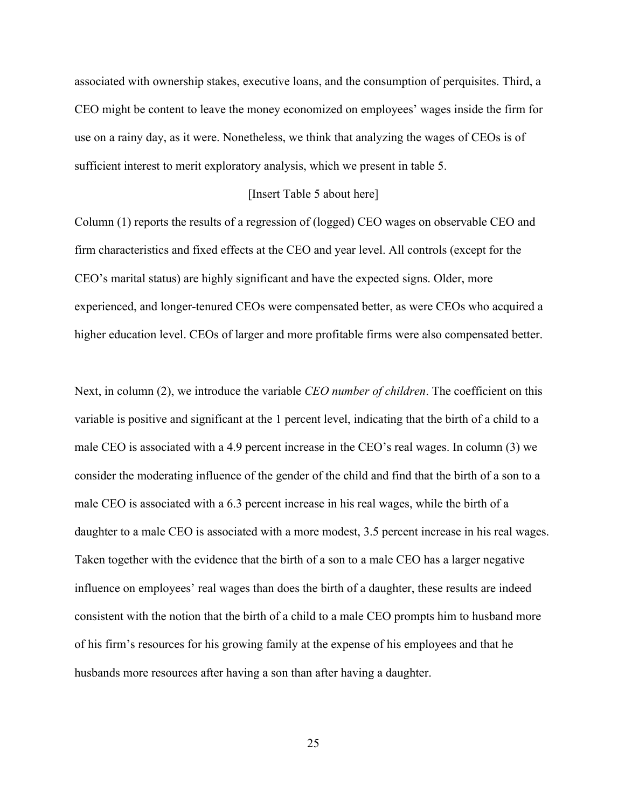associated with ownership stakes, executive loans, and the consumption of perquisites. Third, a CEO might be content to leave the money economized on employees' wages inside the firm for use on a rainy day, as it were. Nonetheless, we think that analyzing the wages of CEOs is of sufficient interest to merit exploratory analysis, which we present in table 5.

## [Insert Table 5 about here]

Column (1) reports the results of a regression of (logged) CEO wages on observable CEO and firm characteristics and fixed effects at the CEO and year level. All controls (except for the CEO's marital status) are highly significant and have the expected signs. Older, more experienced, and longer-tenured CEOs were compensated better, as were CEOs who acquired a higher education level. CEOs of larger and more profitable firms were also compensated better.

Next, in column (2), we introduce the variable *CEO number of children*. The coefficient on this variable is positive and significant at the 1 percent level, indicating that the birth of a child to a male CEO is associated with a 4.9 percent increase in the CEO's real wages. In column (3) we consider the moderating influence of the gender of the child and find that the birth of a son to a male CEO is associated with a 6.3 percent increase in his real wages, while the birth of a daughter to a male CEO is associated with a more modest, 3.5 percent increase in his real wages. Taken together with the evidence that the birth of a son to a male CEO has a larger negative influence on employees' real wages than does the birth of a daughter, these results are indeed consistent with the notion that the birth of a child to a male CEO prompts him to husband more of his firm's resources for his growing family at the expense of his employees and that he husbands more resources after having a son than after having a daughter.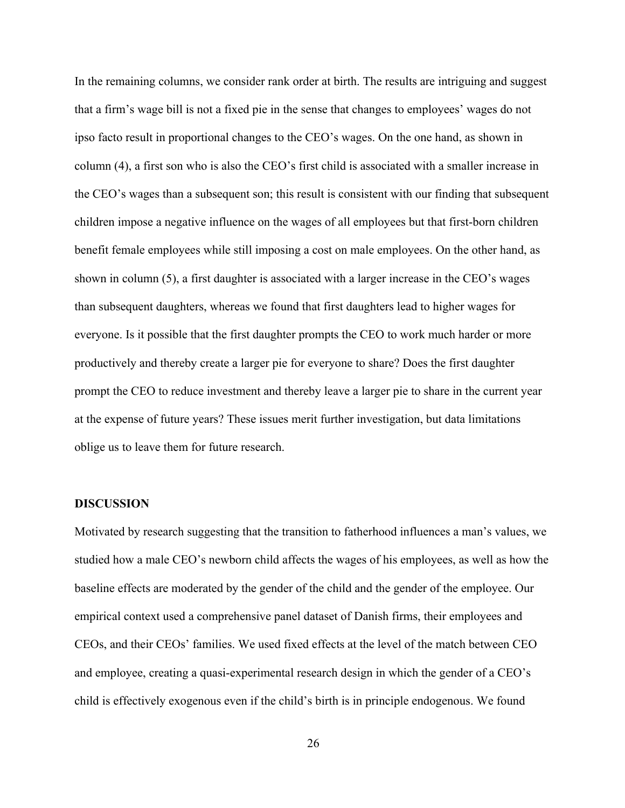In the remaining columns, we consider rank order at birth. The results are intriguing and suggest that a firm's wage bill is not a fixed pie in the sense that changes to employees' wages do not ipso facto result in proportional changes to the CEO's wages. On the one hand, as shown in column (4), a first son who is also the CEO's first child is associated with a smaller increase in the CEO's wages than a subsequent son; this result is consistent with our finding that subsequent children impose a negative influence on the wages of all employees but that first-born children benefit female employees while still imposing a cost on male employees. On the other hand, as shown in column (5), a first daughter is associated with a larger increase in the CEO's wages than subsequent daughters, whereas we found that first daughters lead to higher wages for everyone. Is it possible that the first daughter prompts the CEO to work much harder or more productively and thereby create a larger pie for everyone to share? Does the first daughter prompt the CEO to reduce investment and thereby leave a larger pie to share in the current year at the expense of future years? These issues merit further investigation, but data limitations oblige us to leave them for future research.

## **DISCUSSION**

Motivated by research suggesting that the transition to fatherhood influences a man's values, we studied how a male CEO's newborn child affects the wages of his employees, as well as how the baseline effects are moderated by the gender of the child and the gender of the employee. Our empirical context used a comprehensive panel dataset of Danish firms, their employees and CEOs, and their CEOs' families. We used fixed effects at the level of the match between CEO and employee, creating a quasi-experimental research design in which the gender of a CEO's child is effectively exogenous even if the child's birth is in principle endogenous. We found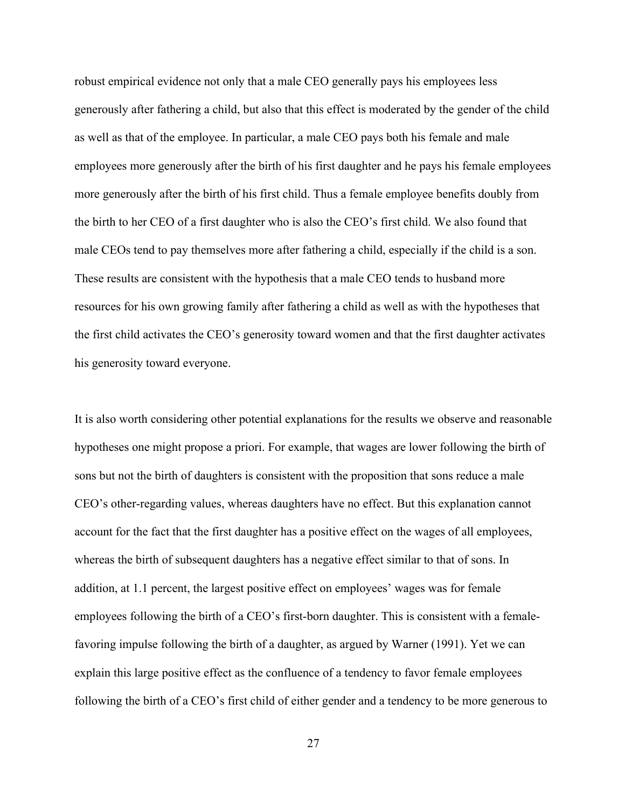robust empirical evidence not only that a male CEO generally pays his employees less generously after fathering a child, but also that this effect is moderated by the gender of the child as well as that of the employee. In particular, a male CEO pays both his female and male employees more generously after the birth of his first daughter and he pays his female employees more generously after the birth of his first child. Thus a female employee benefits doubly from the birth to her CEO of a first daughter who is also the CEO's first child. We also found that male CEOs tend to pay themselves more after fathering a child, especially if the child is a son. These results are consistent with the hypothesis that a male CEO tends to husband more resources for his own growing family after fathering a child as well as with the hypotheses that the first child activates the CEO's generosity toward women and that the first daughter activates his generosity toward everyone.

It is also worth considering other potential explanations for the results we observe and reasonable hypotheses one might propose a priori. For example, that wages are lower following the birth of sons but not the birth of daughters is consistent with the proposition that sons reduce a male CEO's other-regarding values, whereas daughters have no effect. But this explanation cannot account for the fact that the first daughter has a positive effect on the wages of all employees, whereas the birth of subsequent daughters has a negative effect similar to that of sons. In addition, at 1.1 percent, the largest positive effect on employees' wages was for female employees following the birth of a CEO's first-born daughter. This is consistent with a femalefavoring impulse following the birth of a daughter, as argued by Warner (1991). Yet we can explain this large positive effect as the confluence of a tendency to favor female employees following the birth of a CEO's first child of either gender and a tendency to be more generous to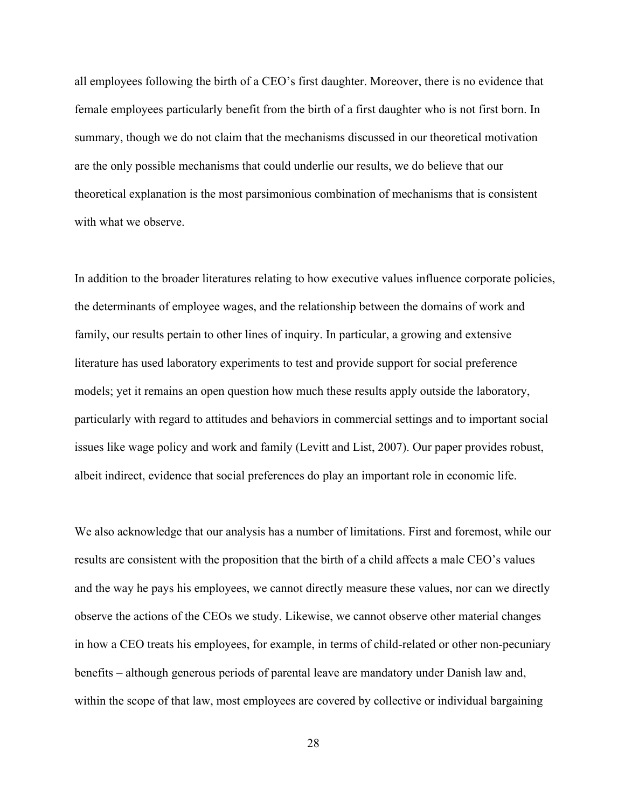all employees following the birth of a CEO's first daughter. Moreover, there is no evidence that female employees particularly benefit from the birth of a first daughter who is not first born. In summary, though we do not claim that the mechanisms discussed in our theoretical motivation are the only possible mechanisms that could underlie our results, we do believe that our theoretical explanation is the most parsimonious combination of mechanisms that is consistent with what we observe.

In addition to the broader literatures relating to how executive values influence corporate policies, the determinants of employee wages, and the relationship between the domains of work and family, our results pertain to other lines of inquiry. In particular, a growing and extensive literature has used laboratory experiments to test and provide support for social preference models; yet it remains an open question how much these results apply outside the laboratory, particularly with regard to attitudes and behaviors in commercial settings and to important social issues like wage policy and work and family (Levitt and List, 2007). Our paper provides robust, albeit indirect, evidence that social preferences do play an important role in economic life.

We also acknowledge that our analysis has a number of limitations. First and foremost, while our results are consistent with the proposition that the birth of a child affects a male CEO's values and the way he pays his employees, we cannot directly measure these values, nor can we directly observe the actions of the CEOs we study. Likewise, we cannot observe other material changes in how a CEO treats his employees, for example, in terms of child-related or other non-pecuniary benefits – although generous periods of parental leave are mandatory under Danish law and, within the scope of that law, most employees are covered by collective or individual bargaining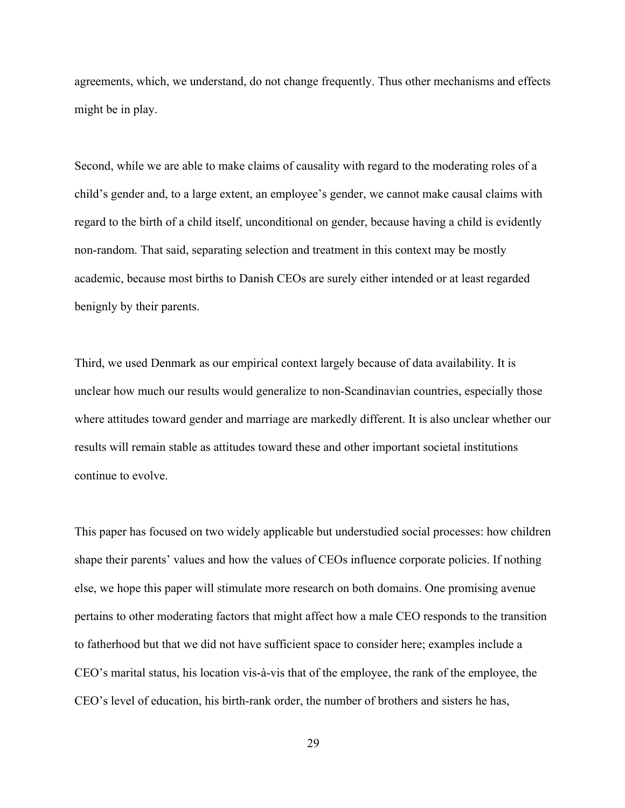agreements, which, we understand, do not change frequently. Thus other mechanisms and effects might be in play.

Second, while we are able to make claims of causality with regard to the moderating roles of a child's gender and, to a large extent, an employee's gender, we cannot make causal claims with regard to the birth of a child itself, unconditional on gender, because having a child is evidently non-random. That said, separating selection and treatment in this context may be mostly academic, because most births to Danish CEOs are surely either intended or at least regarded benignly by their parents.

Third, we used Denmark as our empirical context largely because of data availability. It is unclear how much our results would generalize to non-Scandinavian countries, especially those where attitudes toward gender and marriage are markedly different. It is also unclear whether our results will remain stable as attitudes toward these and other important societal institutions continue to evolve.

This paper has focused on two widely applicable but understudied social processes: how children shape their parents' values and how the values of CEOs influence corporate policies. If nothing else, we hope this paper will stimulate more research on both domains. One promising avenue pertains to other moderating factors that might affect how a male CEO responds to the transition to fatherhood but that we did not have sufficient space to consider here; examples include a CEO's marital status, his location vis-à-vis that of the employee, the rank of the employee, the CEO's level of education, his birth-rank order, the number of brothers and sisters he has,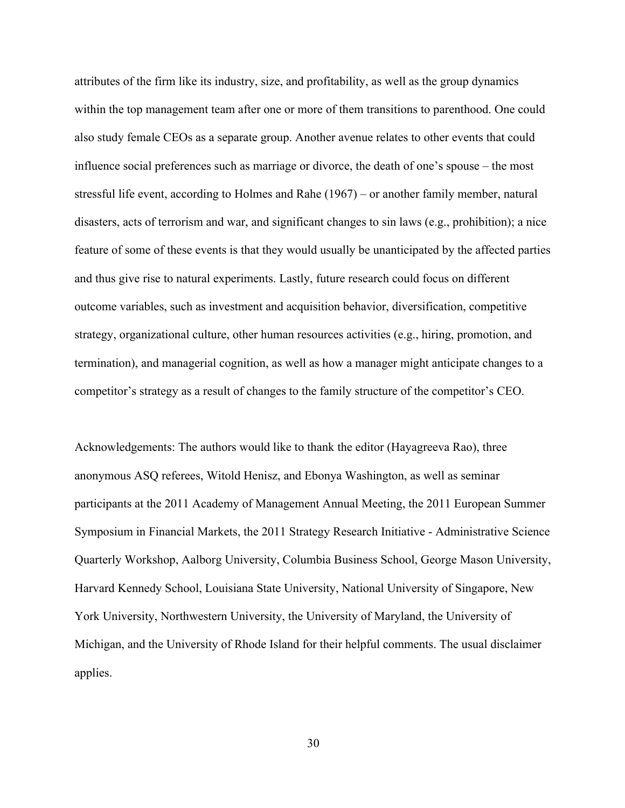attributes of the firm like its industry, size, and profitability, as well as the group dynamics within the top management team after one or more of them transitions to parenthood. One could also study female CEOs as a separate group. Another avenue relates to other events that could influence social preferences such as marriage or divorce, the death of one's spouse – the most stressful life event, according to Holmes and Rahe (1967) – or another family member, natural disasters, acts of terrorism and war, and significant changes to sin laws (e.g., prohibition); a nice feature of some of these events is that they would usually be unanticipated by the affected parties and thus give rise to natural experiments. Lastly, future research could focus on different outcome variables, such as investment and acquisition behavior, diversification, competitive strategy, organizational culture, other human resources activities (e.g., hiring, promotion, and termination), and managerial cognition, as well as how a manager might anticipate changes to a competitor's strategy as a result of changes to the family structure of the competitor's CEO.

Acknowledgements: The authors would like to thank the editor (Hayagreeva Rao), three anonymous ASQ referees, Witold Henisz, and Ebonya Washington, as well as seminar participants at the 2011 Academy of Management Annual Meeting, the 2011 European Summer Symposium in Financial Markets, the 2011 Strategy Research Initiative - Administrative Science Quarterly Workshop, Aalborg University, Columbia Business School, George Mason University, Harvard Kennedy School, Louisiana State University, National University of Singapore, New York University, Northwestern University, the University of Maryland, the University of Michigan, and the University of Rhode Island for their helpful comments. The usual disclaimer applies.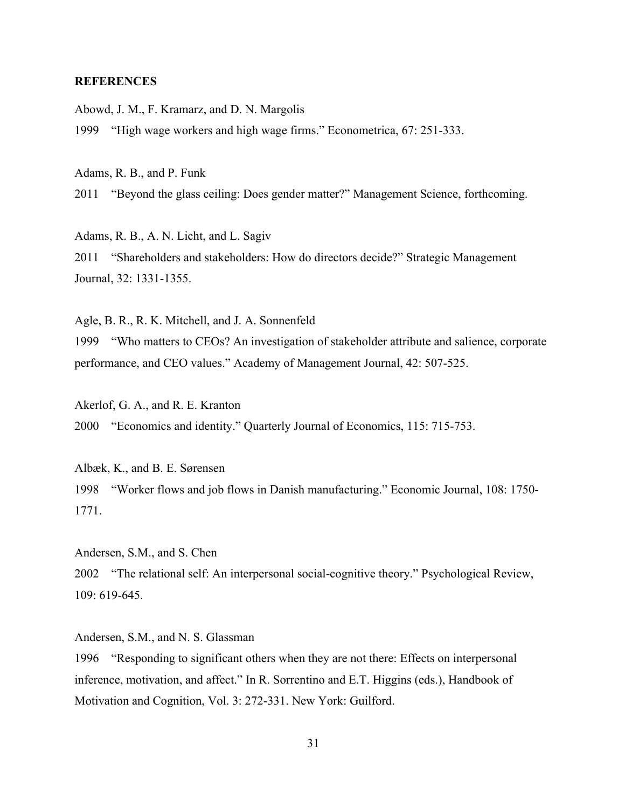## **REFERENCES**

Abowd, J. M., F. Kramarz, and D. N. Margolis

1999 "High wage workers and high wage firms." Econometrica, 67: 251-333.

Adams, R. B., and P. Funk

2011 "Beyond the glass ceiling: Does gender matter?" Management Science, forthcoming.

Adams, R. B., A. N. Licht, and L. Sagiv

2011 "Shareholders and stakeholders: How do directors decide?" Strategic Management Journal, 32: 1331-1355.

Agle, B. R., R. K. Mitchell, and J. A. Sonnenfeld

1999 "Who matters to CEOs? An investigation of stakeholder attribute and salience, corporate performance, and CEO values." Academy of Management Journal, 42: 507-525.

Akerlof, G. A., and R. E. Kranton

2000 "Economics and identity." Quarterly Journal of Economics, 115: 715-753.

Albæk, K., and B. E. Sørensen 1998 "Worker flows and job flows in Danish manufacturing." Economic Journal, 108: 1750- 1771.

Andersen, S.M., and S. Chen 2002 "The relational self: An interpersonal social-cognitive theory." Psychological Review, 109: 619-645.

Andersen, S.M., and N. S. Glassman 1996 "Responding to significant others when they are not there: Effects on interpersonal inference, motivation, and affect." In R. Sorrentino and E.T. Higgins (eds.), Handbook of Motivation and Cognition, Vol. 3: 272-331. New York: Guilford.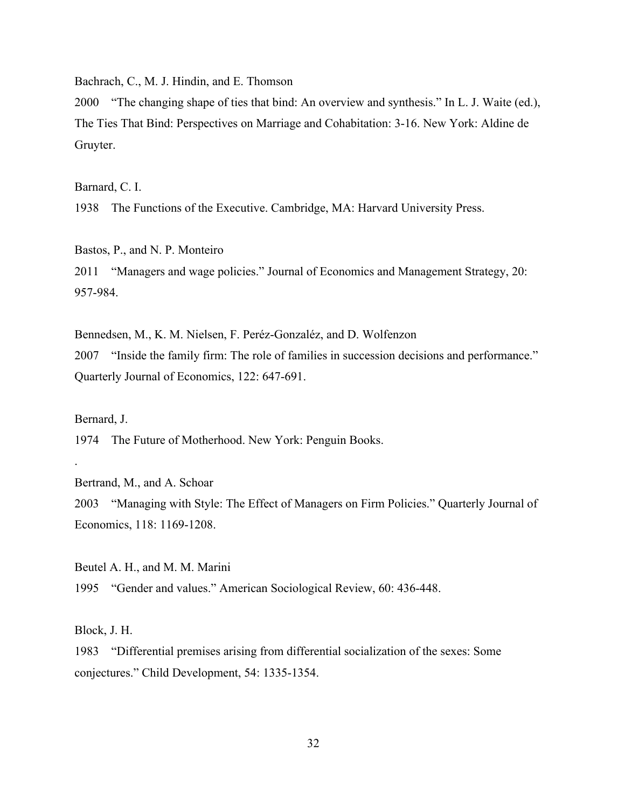Bachrach, C., M. J. Hindin, and E. Thomson

2000 "The changing shape of ties that bind: An overview and synthesis." In L. J. Waite (ed.), The Ties That Bind: Perspectives on Marriage and Cohabitation: 3-16. New York: Aldine de Gruyter.

Barnard, C. I.

1938 The Functions of the Executive. Cambridge, MA: Harvard University Press.

Bastos, P., and N. P. Monteiro 2011 "Managers and wage policies." Journal of Economics and Management Strategy, 20: 957-984.

Bennedsen, M., K. M. Nielsen, F. Peréz-Gonzaléz, and D. Wolfenzon 2007 "Inside the family firm: The role of families in succession decisions and performance." Quarterly Journal of Economics, 122: 647-691.

Bernard, J.

.

1974 The Future of Motherhood. New York: Penguin Books.

Bertrand, M., and A. Schoar

2003 "Managing with Style: The Effect of Managers on Firm Policies." Quarterly Journal of Economics, 118: 1169-1208.

Beutel A. H., and M. M. Marini 1995 "Gender and values." American Sociological Review, 60: 436-448.

Block, J. H.

1983 "Differential premises arising from differential socialization of the sexes: Some conjectures." Child Development, 54: 1335-1354.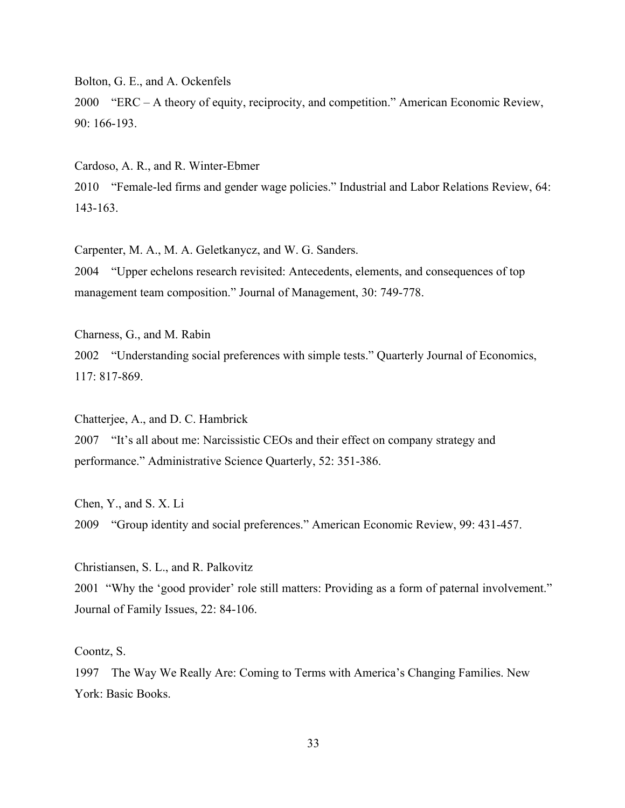Bolton, G. E., and A. Ockenfels

2000 "ERC – A theory of equity, reciprocity, and competition." American Economic Review, 90: 166-193.

Cardoso, A. R., and R. Winter-Ebmer 2010 "Female-led firms and gender wage policies." Industrial and Labor Relations Review, 64: 143-163.

Carpenter, M. A., M. A. Geletkanycz, and W. G. Sanders.

2004 "Upper echelons research revisited: Antecedents, elements, and consequences of top management team composition." Journal of Management, 30: 749-778.

Charness, G., and M. Rabin 2002 "Understanding social preferences with simple tests." Quarterly Journal of Economics, 117: 817-869.

Chatterjee, A., and D. C. Hambrick 2007 "It's all about me: Narcissistic CEOs and their effect on company strategy and performance." Administrative Science Quarterly, 52: 351-386.

Chen, Y., and S. X. Li 2009 "Group identity and social preferences." American Economic Review, 99: 431-457.

Christiansen, S. L., and R. Palkovitz 2001 "Why the 'good provider' role still matters: Providing as a form of paternal involvement." Journal of Family Issues, 22: 84-106.

Coontz, S.

1997 The Way We Really Are: Coming to Terms with America's Changing Families. New York: Basic Books.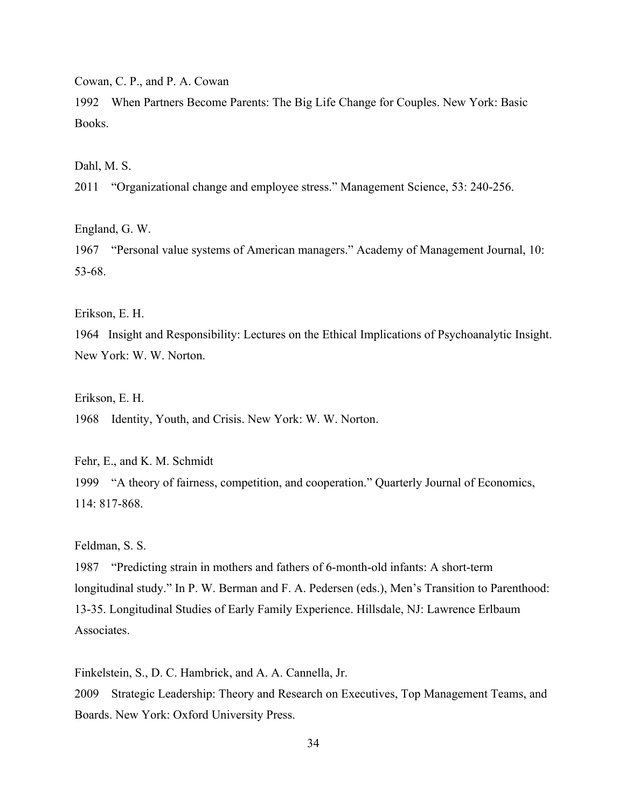Cowan, C. P., and P. A. Cowan

1992 When Partners Become Parents: The Big Life Change for Couples. New York: Basic Books.

Dahl, M. S.

2011 "Organizational change and employee stress." Management Science, 53: 240-256.

England, G. W.

1967 "Personal value systems of American managers." Academy of Management Journal, 10: 53-68.

Erikson, E. H.

1964 Insight and Responsibility: Lectures on the Ethical Implications of Psychoanalytic Insight. New York: W. W. Norton.

Erikson, E. H.

1968 Identity, Youth, and Crisis. New York: W. W. Norton.

Fehr, E., and K. M. Schmidt 1999 "A theory of fairness, competition, and cooperation." Quarterly Journal of Economics, 114: 817-868.

Feldman, S. S.

1987 "Predicting strain in mothers and fathers of 6-month-old infants: A short-term longitudinal study." In P. W. Berman and F. A. Pedersen (eds.), Men's Transition to Parenthood: 13-35. Longitudinal Studies of Early Family Experience. Hillsdale, NJ: Lawrence Erlbaum Associates.

Finkelstein, S., D. C. Hambrick, and A. A. Cannella, Jr.

2009 Strategic Leadership: Theory and Research on Executives, Top Management Teams, and Boards. New York: Oxford University Press.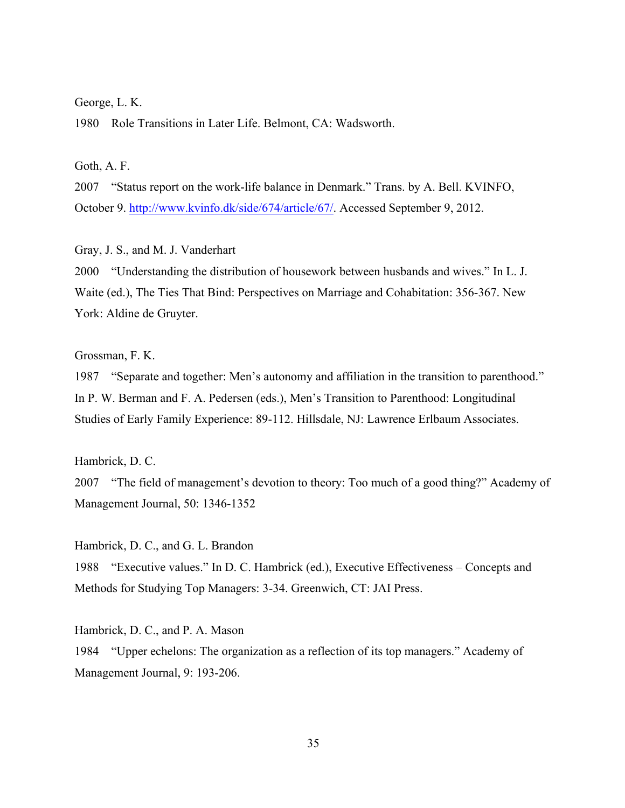#### George, L. K.

1980 Role Transitions in Later Life. Belmont, CA: Wadsworth.

Goth, A. F.

2007 "Status report on the work-life balance in Denmark." Trans. by A. Bell. KVINFO, October 9. http://www.kvinfo.dk/side/674/article/67/. Accessed September 9, 2012.

Gray, J. S., and M. J. Vanderhart

2000 "Understanding the distribution of housework between husbands and wives." In L. J. Waite (ed.), The Ties That Bind: Perspectives on Marriage and Cohabitation: 356-367. New York: Aldine de Gruyter.

## Grossman, F. K.

1987 "Separate and together: Men's autonomy and affiliation in the transition to parenthood." In P. W. Berman and F. A. Pedersen (eds.), Men's Transition to Parenthood: Longitudinal Studies of Early Family Experience: 89-112. Hillsdale, NJ: Lawrence Erlbaum Associates.

Hambrick, D. C.

2007 "The field of management's devotion to theory: Too much of a good thing?" Academy of Management Journal, 50: 1346-1352

Hambrick, D. C., and G. L. Brandon 1988 "Executive values." In D. C. Hambrick (ed.), Executive Effectiveness – Concepts and Methods for Studying Top Managers: 3-34. Greenwich, CT: JAI Press.

Hambrick, D. C., and P. A. Mason 1984 "Upper echelons: The organization as a reflection of its top managers." Academy of Management Journal, 9: 193-206.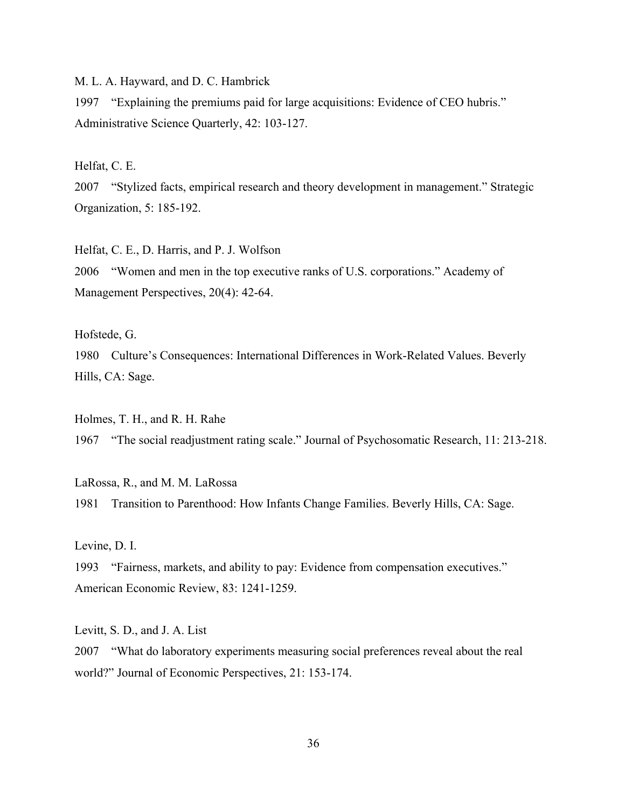M. L. A. Hayward, and D. C. Hambrick

1997 "Explaining the premiums paid for large acquisitions: Evidence of CEO hubris." Administrative Science Quarterly, 42: 103-127.

Helfat, C. E.

2007 "Stylized facts, empirical research and theory development in management." Strategic Organization, 5: 185-192.

Helfat, C. E., D. Harris, and P. J. Wolfson 2006 "Women and men in the top executive ranks of U.S. corporations." Academy of Management Perspectives, 20(4): 42-64.

Hofstede, G.

1980 Culture's Consequences: International Differences in Work-Related Values. Beverly Hills, CA: Sage.

Holmes, T. H., and R. H. Rahe 1967 "The social readjustment rating scale." Journal of Psychosomatic Research, 11: 213-218.

LaRossa, R., and M. M. LaRossa 1981 Transition to Parenthood: How Infants Change Families. Beverly Hills, CA: Sage.

Levine, D. I.

1993 "Fairness, markets, and ability to pay: Evidence from compensation executives." American Economic Review, 83: 1241-1259.

Levitt, S. D., and J. A. List

2007 "What do laboratory experiments measuring social preferences reveal about the real world?" Journal of Economic Perspectives, 21: 153-174.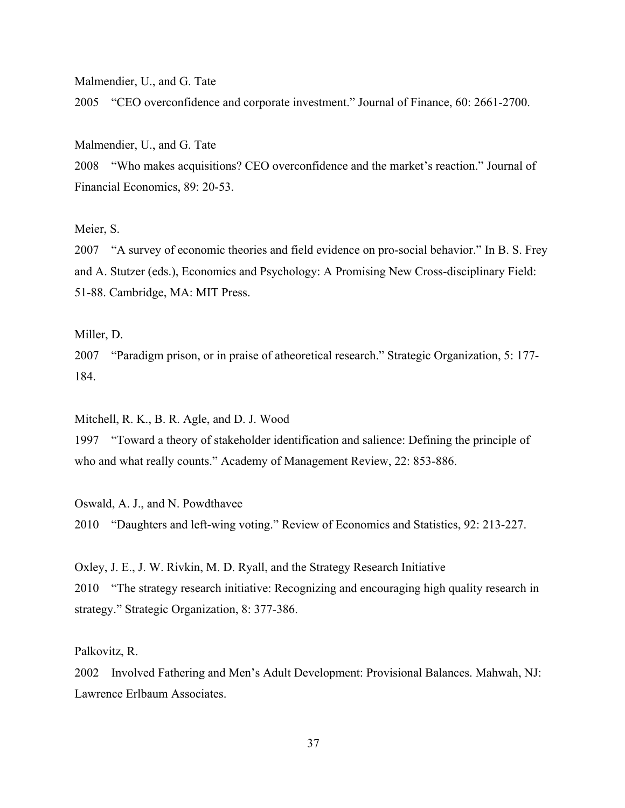Malmendier, U., and G. Tate

2005 "CEO overconfidence and corporate investment." Journal of Finance, 60: 2661-2700.

Malmendier, U., and G. Tate

2008 "Who makes acquisitions? CEO overconfidence and the market's reaction." Journal of Financial Economics, 89: 20-53.

Meier, S.

2007 "A survey of economic theories and field evidence on pro-social behavior." In B. S. Frey and A. Stutzer (eds.), Economics and Psychology: A Promising New Cross-disciplinary Field: 51-88. Cambridge, MA: MIT Press.

Miller, D.

2007 "Paradigm prison, or in praise of atheoretical research." Strategic Organization, 5: 177- 184.

Mitchell, R. K., B. R. Agle, and D. J. Wood

1997 "Toward a theory of stakeholder identification and salience: Defining the principle of who and what really counts." Academy of Management Review, 22: 853-886.

Oswald, A. J., and N. Powdthavee 2010 "Daughters and left-wing voting." Review of Economics and Statistics, 92: 213-227.

Oxley, J. E., J. W. Rivkin, M. D. Ryall, and the Strategy Research Initiative 2010 "The strategy research initiative: Recognizing and encouraging high quality research in strategy." Strategic Organization, 8: 377-386.

Palkovitz, R.

2002 Involved Fathering and Men's Adult Development: Provisional Balances. Mahwah, NJ: Lawrence Erlbaum Associates.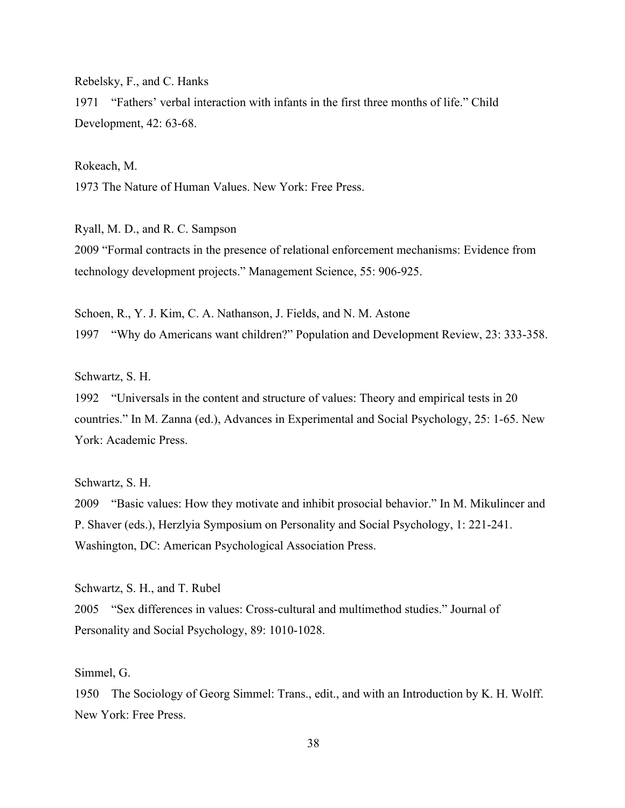Rebelsky, F., and C. Hanks

1971 "Fathers' verbal interaction with infants in the first three months of life." Child Development, 42: 63-68.

Rokeach, M. 1973 The Nature of Human Values. New York: Free Press.

Ryall, M. D., and R. C. Sampson 2009 "Formal contracts in the presence of relational enforcement mechanisms: Evidence from technology development projects." Management Science, 55: 906-925.

Schoen, R., Y. J. Kim, C. A. Nathanson, J. Fields, and N. M. Astone 1997 "Why do Americans want children?" Population and Development Review, 23: 333-358.

Schwartz, S. H.

1992 "Universals in the content and structure of values: Theory and empirical tests in 20 countries." In M. Zanna (ed.), Advances in Experimental and Social Psychology, 25: 1-65. New York: Academic Press.

Schwartz, S. H.

2009 "Basic values: How they motivate and inhibit prosocial behavior." In M. Mikulincer and P. Shaver (eds.), Herzlyia Symposium on Personality and Social Psychology, 1: 221-241. Washington, DC: American Psychological Association Press.

Schwartz, S. H., and T. Rubel 2005 "Sex differences in values: Cross-cultural and multimethod studies." Journal of Personality and Social Psychology, 89: 1010-1028.

Simmel, G.

1950 The Sociology of Georg Simmel: Trans., edit., and with an Introduction by K. H. Wolff. New York: Free Press.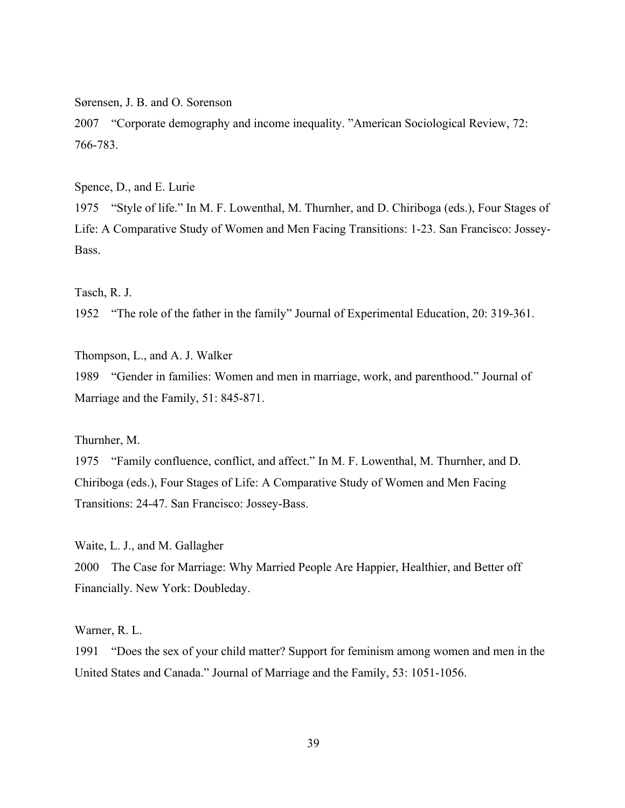Sørensen, J. B. and O. Sorenson

2007 "Corporate demography and income inequality. "American Sociological Review, 72: 766-783.

Spence, D., and E. Lurie

1975 "Style of life." In M. F. Lowenthal, M. Thurnher, and D. Chiriboga (eds.), Four Stages of Life: A Comparative Study of Women and Men Facing Transitions: 1-23. San Francisco: Jossey-Bass.

Tasch, R. J.

1952 "The role of the father in the family" Journal of Experimental Education, 20: 319-361.

Thompson, L., and A. J. Walker

1989 "Gender in families: Women and men in marriage, work, and parenthood." Journal of Marriage and the Family, 51: 845-871.

Thurnher, M.

1975 "Family confluence, conflict, and affect." In M. F. Lowenthal, M. Thurnher, and D. Chiriboga (eds.), Four Stages of Life: A Comparative Study of Women and Men Facing Transitions: 24-47. San Francisco: Jossey-Bass.

Waite, L. J., and M. Gallagher

2000 The Case for Marriage: Why Married People Are Happier, Healthier, and Better off Financially. New York: Doubleday.

Warner, R. L.

1991 "Does the sex of your child matter? Support for feminism among women and men in the United States and Canada." Journal of Marriage and the Family, 53: 1051-1056.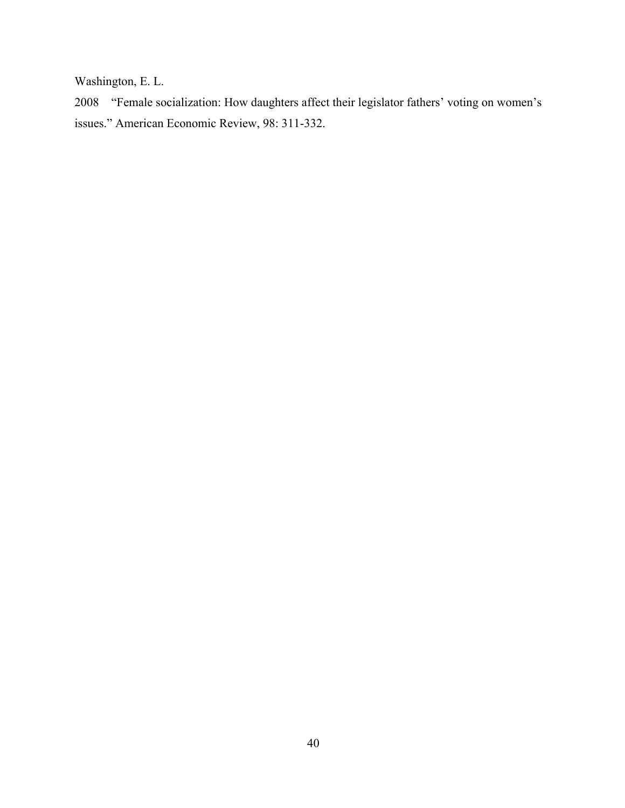Washington, E. L.

2008 "Female socialization: How daughters affect their legislator fathers' voting on women's issues." American Economic Review, 98: 311-332.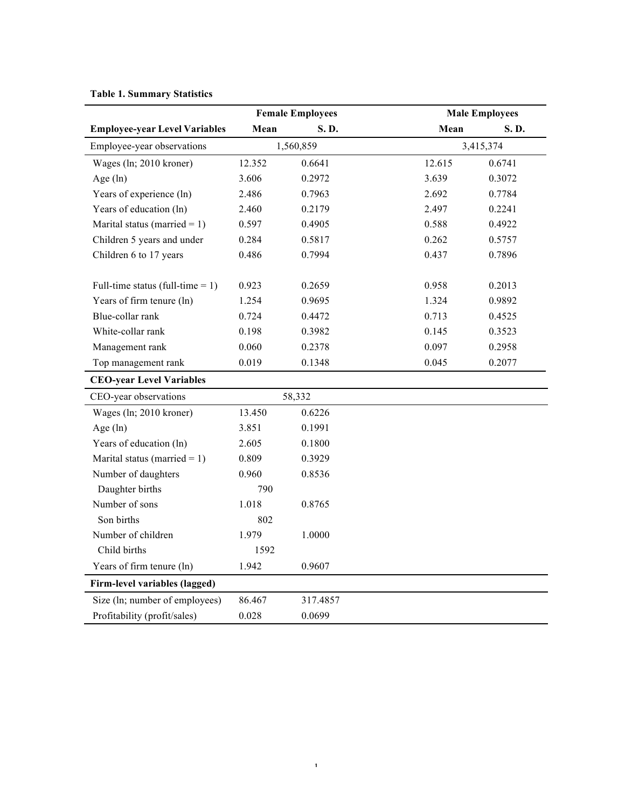# **Table 1. Summary Statistics**

|                                      |        | <b>Female Employees</b> |        | <b>Male Employees</b> |
|--------------------------------------|--------|-------------------------|--------|-----------------------|
| <b>Employee-year Level Variables</b> | Mean   | S.D.                    | Mean   | S.D.                  |
| Employee-year observations           |        | 1,560,859               |        | 3,415,374             |
| Wages (ln; 2010 kroner)              | 12.352 | 0.6641                  | 12.615 | 0.6741                |
| Age $(ln)$                           | 3.606  | 0.2972                  | 3.639  | 0.3072                |
| Years of experience (ln)             | 2.486  | 0.7963                  | 2.692  | 0.7784                |
| Years of education (ln)              | 2.460  | 0.2179                  | 2.497  | 0.2241                |
| Marital status (married = $1$ )      | 0.597  | 0.4905                  | 0.588  | 0.4922                |
| Children 5 years and under           | 0.284  | 0.5817                  | 0.262  | 0.5757                |
| Children 6 to 17 years               | 0.486  | 0.7994                  | 0.437  | 0.7896                |
| Full-time status (full-time $= 1$ )  | 0.923  | 0.2659                  | 0.958  | 0.2013                |
| Years of firm tenure (ln)            | 1.254  | 0.9695                  | 1.324  | 0.9892                |
| Blue-collar rank                     | 0.724  | 0.4472                  | 0.713  | 0.4525                |
| White-collar rank                    | 0.198  | 0.3982                  | 0.145  | 0.3523                |
| Management rank                      | 0.060  | 0.2378                  | 0.097  | 0.2958                |
| Top management rank                  | 0.019  | 0.1348                  | 0.045  | 0.2077                |
| <b>CEO-year Level Variables</b>      |        |                         |        |                       |
| CEO-year observations                |        | 58,332                  |        |                       |
| Wages (ln; 2010 kroner)              | 13.450 | 0.6226                  |        |                       |
| Age $(ln)$                           | 3.851  | 0.1991                  |        |                       |
| Years of education (ln)              | 2.605  | 0.1800                  |        |                       |
| Marital status (married = $1$ )      | 0.809  | 0.3929                  |        |                       |
| Number of daughters                  | 0.960  | 0.8536                  |        |                       |
| Daughter births                      | 790    |                         |        |                       |
| Number of sons                       | 1.018  | 0.8765                  |        |                       |
| Son births                           | 802    |                         |        |                       |
| Number of children                   | 1.979  | 1.0000                  |        |                       |
| Child births                         | 1592   |                         |        |                       |
| Years of firm tenure (ln)            | 1.942  | 0.9607                  |        |                       |
| Firm-level variables (lagged)        |        |                         |        |                       |
| Size (ln; number of employees)       | 86.467 | 317.4857                |        |                       |
| Profitability (profit/sales)         | 0.028  | 0.0699                  |        |                       |

 $\mathbf{1}$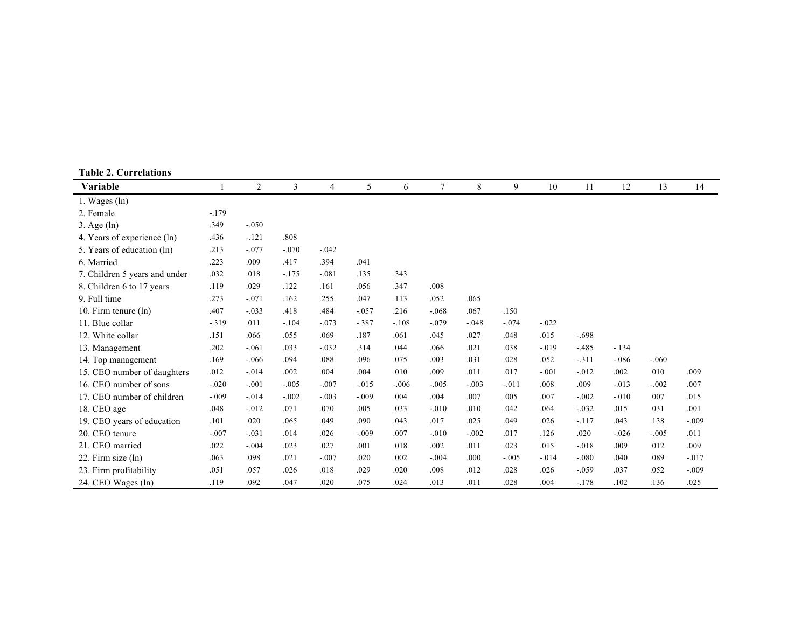| <b>Table 2. Correlations</b>  |         |          |         |                |          |         |          |         |         |          |          |         |         |         |
|-------------------------------|---------|----------|---------|----------------|----------|---------|----------|---------|---------|----------|----------|---------|---------|---------|
| Variable                      |         | 2        | 3       | $\overline{4}$ | 5        | 6       | 7        | 8       | 9       | 10       | 11       | 12      | 13      | 14      |
| 1. Wages (ln)                 |         |          |         |                |          |         |          |         |         |          |          |         |         |         |
| 2. Female                     | $-179$  |          |         |                |          |         |          |         |         |          |          |         |         |         |
| $3. \text{Age}(\ln)$          | .349    | $-.050$  |         |                |          |         |          |         |         |          |          |         |         |         |
| 4. Years of experience (ln)   | .436    | $-.121$  | .808    |                |          |         |          |         |         |          |          |         |         |         |
| 5. Years of education (ln)    | .213    | $-.077$  | $-.070$ | $-.042$        |          |         |          |         |         |          |          |         |         |         |
| 6. Married                    | .223    | .009     | .417    | .394           | .041     |         |          |         |         |          |          |         |         |         |
| 7. Children 5 years and under | .032    | .018     | $-175$  | $-.081$        | .135     | .343    |          |         |         |          |          |         |         |         |
| 8. Children 6 to 17 years     | .119    | .029     | .122    | .161           | .056     | .347    | .008     |         |         |          |          |         |         |         |
| 9. Full time                  | .273    | $-.071$  | .162    | .255           | .047     | .113    | .052     | .065    |         |          |          |         |         |         |
| 10. Firm tenure (ln)          | .407    | $-.033$  | .418    | .484           | $-.057$  | .216    | $-.068$  | .067    | .150    |          |          |         |         |         |
| 11. Blue collar               | $-.319$ | .011     | $-.104$ | $-.073$        | $-.387$  | $-.108$ | $-.079$  | $-.048$ | $-.074$ | $-.022$  |          |         |         |         |
| 12. White collar              | .151    | .066     | .055    | .069           | .187     | .061    | .045     | .027    | .048    | .015     | $-.698$  |         |         |         |
| 13. Management                | .202    | $-.061$  | .033    | $-.032$        | .314     | .044    | .066     | .021    | .038    | $-0.019$ | $-.485$  | $-134$  |         |         |
| 14. Top management            | .169    | $-.066$  | .094    | .088           | .096     | .075    | .003     | .031    | .028    | .052     | $-.311$  | $-.086$ | $-.060$ |         |
| 15. CEO number of daughters   | .012    | $-.014$  | .002    | .004           | .004     | .010    | .009     | .011    | .017    | $-.001$  | $-0.012$ | .002    | .010    | .009    |
| 16. CEO number of sons        | $-.020$ | $-.001$  | $-.005$ | $-.007$        | $-0.015$ | $-.006$ | $-.005$  | $-.003$ | $-.011$ | .008     | .009     | $-.013$ | $-.002$ | .007    |
| 17. CEO number of children    | $-.009$ | $-.014$  | $-.002$ | $-.003$        | $-.009$  | .004    | .004     | .007    | .005    | .007     | $-.002$  | $-.010$ | .007    | .015    |
| 18. CEO age                   | .048    | $-0.012$ | .071    | .070           | .005     | .033    | $-0.010$ | .010    | .042    | .064     | $-.032$  | .015    | .031    | .001    |
| 19. CEO years of education    | .101    | .020     | .065    | .049           | .090     | .043    | .017     | .025    | .049    | .026     | $-.117$  | .043    | .138    | $-.009$ |
| 20. CEO tenure                | $-.007$ | $-.031$  | .014    | .026           | $-.009$  | .007    | $-.010$  | $-.002$ | .017    | .126     | .020     | $-.026$ | $-.005$ | .011    |
| 21. CEO married               | .022    | $-.004$  | .023    | .027           | .001     | .018    | .002     | .011    | .023    | .015     | $-.018$  | .009    | .012    | .009    |
| 22. Firm size (ln)            | .063    | .098     | .021    | $-.007$        | .020     | .002    | $-.004$  | .000    | $-.005$ | $-.014$  | $-.080$  | .040    | .089    | $-.017$ |
| 23. Firm profitability        | .051    | .057     | .026    | .018           | .029     | .020    | .008     | .012    | .028    | .026     | $-.059$  | .037    | .052    | $-.009$ |
| 24. CEO Wages (ln)            | .119    | .092     | .047    | .020           | .075     | .024    | .013     | .011    | .028    | .004     | $-.178$  | .102    | .136    | .025    |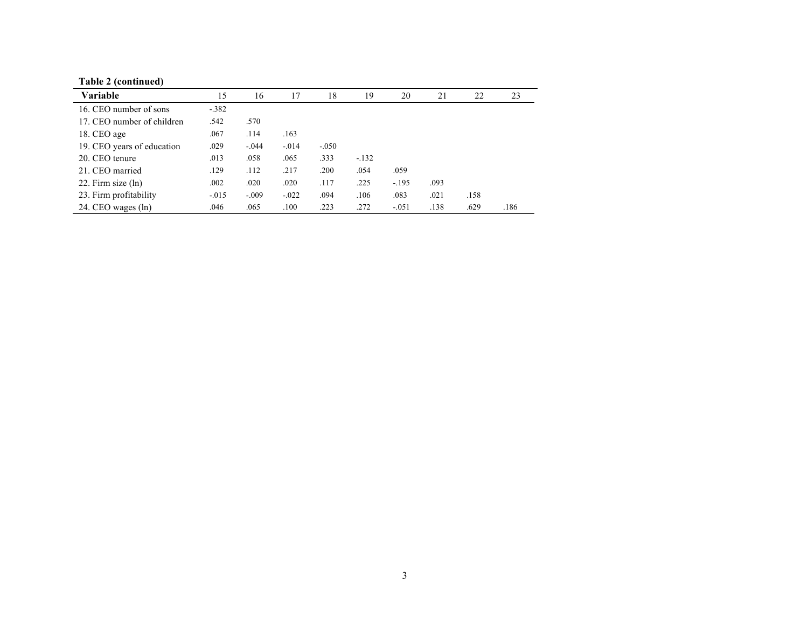| <b>Variable</b>            | 15      | 16      | 17      | 18      | 19     | 20      | 21   | 22   | 23   |
|----------------------------|---------|---------|---------|---------|--------|---------|------|------|------|
| 16. CEO number of sons     | $-.382$ |         |         |         |        |         |      |      |      |
| 17. CEO number of children | .542    | .570    |         |         |        |         |      |      |      |
| 18. CEO age                | .067    | .114    | .163    |         |        |         |      |      |      |
| 19. CEO years of education | .029    | $-.044$ | $-.014$ | $-.050$ |        |         |      |      |      |
| 20. CEO tenure             | .013    | .058    | .065    | .333    | $-132$ |         |      |      |      |
| 21. CEO married            | .129    | .112    | .217    | .200    | .054   | .059    |      |      |      |
| 22. Firm size $(ln)$       | .002    | .020    | .020    | .117    | .225   | $-195$  | .093 |      |      |
| 23. Firm profitability     | $-.015$ | $-.009$ | $-.022$ | .094    | .106   | .083    | .021 | .158 |      |
| 24. CEO wages (ln)         | .046    | .065    | .100    | .223    | .272   | $-.051$ | .138 | .629 | .186 |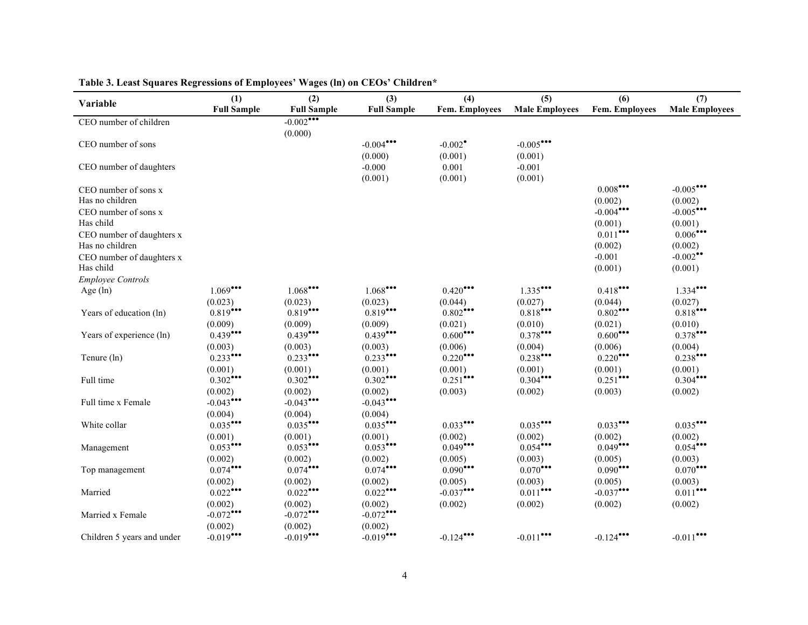| Variable                                     | (1)<br><b>Full Sample</b> | (2)<br><b>Full Sample</b> | (3)<br><b>Full Sample</b> | (4)<br>Fem. Employees            | (5)<br><b>Male Employees</b> | (6)<br><b>Fem. Employees</b> | (7)<br><b>Male Employees</b>      |
|----------------------------------------------|---------------------------|---------------------------|---------------------------|----------------------------------|------------------------------|------------------------------|-----------------------------------|
| CEO number of children                       |                           | $-0.002$<br>(0.000)       |                           |                                  |                              |                              |                                   |
| CEO number of sons                           |                           |                           | $-0.004$<br>(0.000)       | $-0.002$ <sup>*</sup><br>(0.001) | $-0.005$ ***<br>(0.001)      |                              |                                   |
| CEO number of daughters                      |                           |                           | $-0.000$<br>(0.001)       | 0.001<br>(0.001)                 | $-0.001$<br>(0.001)          |                              |                                   |
| CEO number of sons x<br>Has no children      |                           |                           |                           |                                  |                              | $0.008$ ***<br>(0.002)       | $-0.005$ ***<br>(0.002)           |
| CEO number of sons x<br>Has child            |                           |                           |                           |                                  |                              | $-0.004$ ***<br>(0.001)      | $-0.005$ ***<br>(0.001)           |
| CEO number of daughters x<br>Has no children |                           |                           |                           |                                  |                              | $0.011$ ***<br>(0.002)       | $0.006$ ***<br>(0.002)            |
| CEO number of daughters x<br>Has child       |                           |                           |                           |                                  |                              | $-0.001$<br>(0.001)          | $-0.002$ <sup>**</sup><br>(0.001) |
| <b>Employee Controls</b>                     |                           |                           |                           |                                  |                              |                              |                                   |
| Age $(ln)$                                   | $1.069$ ***               | 1.068                     | 1.068                     | $0.420$ ***                      | $1.335$ ***                  | $0.418$ ***                  | $1.334$ ***                       |
|                                              | (0.023)                   | (0.023)                   | (0.023)                   | (0.044)                          | (0.027)                      | (0.044)                      | (0.027)                           |
| Years of education (ln)                      | 0.819                     | $0.819$ ***               | 0.819                     | $0.802$ ***                      | $0.818$ ***                  | $0.802$ ***                  | $0.818$ ***                       |
|                                              | (0.009)                   | (0.009)                   | (0.009)                   | (0.021)                          | (0.010)                      | (0.021)                      | (0.010)                           |
| Years of experience (ln)                     | $0.439$ ***               | $0.439$ ***               | $0.439$ ***               | $0.600$ ***                      | $0.378$ ***                  | $0.600$ <sup>***</sup>       | 0.378                             |
|                                              | (0.003)                   | (0.003)                   | (0.003)                   | (0.006)                          | (0.004)                      | (0.006)                      | (0.004)                           |
| Tenure (ln)                                  | $0.233$ ***               | $0.233$ ***               | $0.233$ ***               | $0.220$ ***                      | $0.238$ ***                  | $0.220$ ***                  | $0.238$ ***                       |
|                                              | (0.001)                   | (0.001)                   | (0.001)                   | (0.001)                          | (0.001)                      | (0.001)                      | (0.001)                           |
| Full time                                    | $0.302$ ***               | $0.302$ ***               | $0.302$ ***               | $0.251$ ***                      | $0.304$ ***                  | $0.251$ ***                  | $0.304$ ***                       |
|                                              | (0.002)                   | (0.002)                   | (0.002)                   | (0.003)                          | (0.002)                      | (0.003)                      | (0.002)                           |
| Full time x Female                           | $-0.043$ ***              | $-0.043$ ***              | $-0.043$                  |                                  |                              |                              |                                   |
|                                              | (0.004)                   | (0.004)                   | (0.004)                   |                                  |                              |                              |                                   |
| White collar                                 | $0.035$ ***               | $0.035$ ***               | $0.035$ ***               | $0.033$ ***                      | $0.035$ ***                  | $0.033$ ***                  | $0.035$ ***                       |
|                                              | (0.001)                   | (0.001)                   | (0.001)                   | (0.002)                          | (0.002)                      | (0.002)                      | (0.002)                           |
| Management                                   | $0.053$ ***               | $0.053$ ***               | $0.053$ ***               | $0.049$ ***                      | $0.054$ ***                  | $0.049$ ***                  | $0.054$ ***                       |
|                                              | (0.002)                   | (0.002)                   | (0.002)                   | (0.005)                          | (0.003)                      | (0.005)                      | (0.003)                           |
| Top management                               | $0.074$ ***               | $0.074$ ***               | $0.074$ ***               | $0.090$ ***                      | $0.070$ ***                  | $0.090$ ***                  | $0.070$ ***                       |
|                                              | (0.002)                   | (0.002)                   | (0.002)                   | (0.005)                          | (0.003)                      | (0.005)                      | (0.003)                           |
| Married                                      | $0.022$ ***               | $0.022$ ***               | $0.022$ ***               | $-0.037$                         | $0.011$ ***                  | $-0.037$ ***                 | $0.011$ ***                       |
|                                              | (0.002)                   | (0.002)                   | (0.002)                   | (0.002)                          | (0.002)                      | (0.002)                      | (0.002)                           |
| Married x Female                             | $-0.072$                  | $-0.072$                  | $-0.072$ ***              |                                  |                              |                              |                                   |
|                                              | (0.002)                   | (0.002)                   | (0.002)                   |                                  |                              |                              |                                   |
| Children 5 years and under                   | $-0.019$ ***              | $-0.019$ ***              | $-0.019$ ***              | $-0.124$                         | $-0.011$ ***                 | $-0.124$                     | $-0.011$ ***                      |

**Table 3. Least Squares Regressions of Employees' Wages (ln) on CEOs' Children\***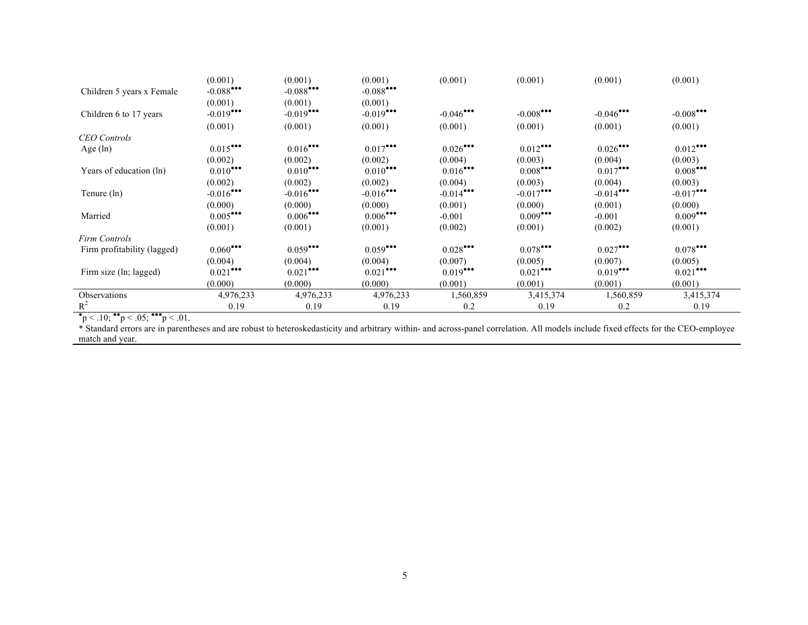|           |                                                                                                           |                                                                                                                                    | (0.001)                                                                                                                                          |                                                                           |                                                                                                     | (0.001)                                                                                     |
|-----------|-----------------------------------------------------------------------------------------------------------|------------------------------------------------------------------------------------------------------------------------------------|--------------------------------------------------------------------------------------------------------------------------------------------------|---------------------------------------------------------------------------|-----------------------------------------------------------------------------------------------------|---------------------------------------------------------------------------------------------|
| (0.001)   | (0.001)                                                                                                   | (0.001)                                                                                                                            |                                                                                                                                                  |                                                                           |                                                                                                     |                                                                                             |
|           |                                                                                                           |                                                                                                                                    |                                                                                                                                                  |                                                                           |                                                                                                     | $-0.008$ ***                                                                                |
| (0.001)   | (0.001)                                                                                                   | (0.001)                                                                                                                            | (0.001)                                                                                                                                          | (0.001)                                                                   | (0.001)                                                                                             | (0.001)                                                                                     |
|           |                                                                                                           |                                                                                                                                    |                                                                                                                                                  |                                                                           |                                                                                                     |                                                                                             |
|           |                                                                                                           |                                                                                                                                    | $0.026$ ***                                                                                                                                      | $0.012$ ***                                                               | $0.026$ ***                                                                                         | $0.012$ ***                                                                                 |
| (0.002)   | (0.002)                                                                                                   | (0.002)                                                                                                                            | (0.004)                                                                                                                                          | (0.003)                                                                   | (0.004)                                                                                             | (0.003)                                                                                     |
|           |                                                                                                           |                                                                                                                                    |                                                                                                                                                  |                                                                           |                                                                                                     | $0.008$ ***                                                                                 |
| (0.002)   | (0.002)                                                                                                   | (0.002)                                                                                                                            | (0.004)                                                                                                                                          | (0.003)                                                                   | (0.004)                                                                                             | (0.003)                                                                                     |
|           |                                                                                                           |                                                                                                                                    |                                                                                                                                                  |                                                                           |                                                                                                     | $-0.017$                                                                                    |
| (0.000)   | (0.000)                                                                                                   | (0.000)                                                                                                                            | (0.001)                                                                                                                                          | (0.000)                                                                   | (0.001)                                                                                             | (0.000)                                                                                     |
|           |                                                                                                           |                                                                                                                                    | $-0.001$                                                                                                                                         |                                                                           | $-0.001$                                                                                            | $0.009$ <sup>***</sup>                                                                      |
| (0.001)   | (0.001)                                                                                                   | (0.001)                                                                                                                            | (0.002)                                                                                                                                          | (0.001)                                                                   | (0.002)                                                                                             | (0.001)                                                                                     |
|           |                                                                                                           |                                                                                                                                    |                                                                                                                                                  |                                                                           |                                                                                                     |                                                                                             |
|           |                                                                                                           | $0.059$ ***                                                                                                                        |                                                                                                                                                  |                                                                           |                                                                                                     | $0.078$ ***                                                                                 |
| (0.004)   | (0.004)                                                                                                   | (0.004)                                                                                                                            | (0.007)                                                                                                                                          | (0.005)                                                                   | (0.007)                                                                                             | (0.005)                                                                                     |
|           |                                                                                                           |                                                                                                                                    |                                                                                                                                                  |                                                                           |                                                                                                     | $0.021$ ***                                                                                 |
| (0.000)   | (0.000)                                                                                                   | (0.000)                                                                                                                            | (0.001)                                                                                                                                          | (0.001)                                                                   | (0.001)                                                                                             | (0.001)                                                                                     |
| 4,976,233 | 4,976,233                                                                                                 | 4,976,233                                                                                                                          | 1,560,859                                                                                                                                        | 3,415,374                                                                 | 1,560,859                                                                                           | 3,415,374                                                                                   |
| 0.19      | 0.19                                                                                                      | 0.19                                                                                                                               | 0.2                                                                                                                                              | 0.19                                                                      | 0.2                                                                                                 | 0.19                                                                                        |
|           | $-0.088$<br>$-0.019$<br>$0.015$ ***<br>$0.010$ ***<br>$-0.016$ ***<br>0.005<br>$0.060$ ***<br>$0.021$ *** | $-0.088$ ***<br>$-0.019$ ***<br>$0.016$ ***<br>$0.010$ ***<br>$-0.016$ ***<br>$0.006$ ***<br>$0.059$ <sup>***</sup><br>$0.021$ *** | (0.001)<br>(0.001)<br>(0.001)<br>$-0.088$<br>$-0.019$ ***<br>$0.017$ ***<br>$0.010$ <sup>***</sup><br>$-0.016$ ***<br>$0.006$ ***<br>$0.021$ *** | $-0.046$ ***<br>$0.016$ ***<br>$-0.014$ ***<br>$0.028$ ***<br>$0.019$ *** | $-0.008$ ***<br>$0.008$ ***<br>$-0.017$ ***<br>$0.009$ <sup>***</sup><br>$0.078$ ***<br>$0.021$ *** | (0.001)<br>(0.001)<br>$-0.046$ ***<br>$0.017$ ***<br>$-0.014$<br>$0.027$ ***<br>$0.019$ *** |

\* Standard errors are in parentheses and are robust to heteroskedasticity and arbitrary within- and across-panel correlation. All models include fixed effects for the CEO-employee match and year.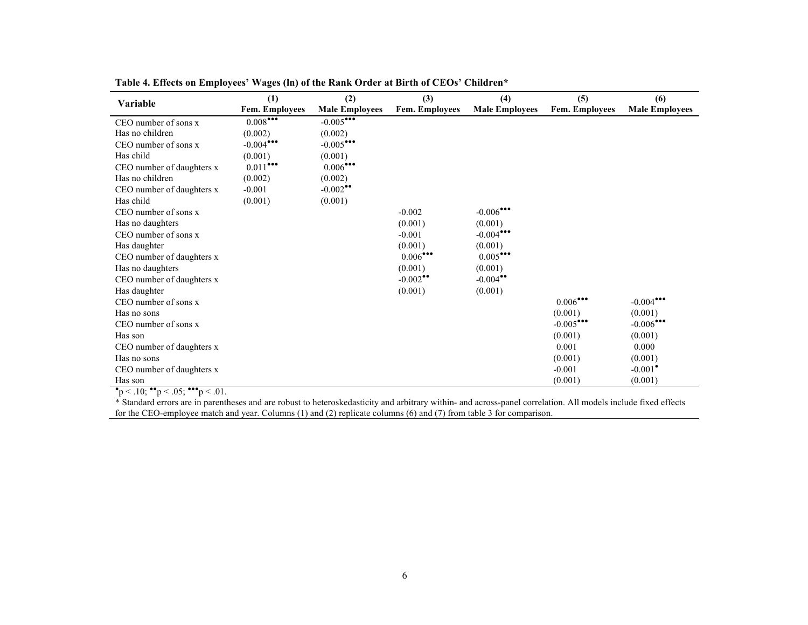| Variable                                                                 | (1)<br>Fem. Employees | (2)<br><b>Male Employees</b>    | (3)<br><b>Fem. Employees</b> | (4)<br><b>Male Employees</b> | (5)<br>Fem. Employees | (6)<br><b>Male Employees</b> |
|--------------------------------------------------------------------------|-----------------------|---------------------------------|------------------------------|------------------------------|-----------------------|------------------------------|
| CEO number of sons x                                                     | 0.008                 | $-0.005$                        |                              |                              |                       |                              |
| Has no children                                                          | (0.002)               | (0.002)                         |                              |                              |                       |                              |
| CEO number of sons x                                                     | $-0.004$              | $-0.005$ ***                    |                              |                              |                       |                              |
| Has child                                                                | (0.001)               | (0.001)                         |                              |                              |                       |                              |
| CEO number of daughters x                                                | $0.011$ ***           | $0.006^{\bullet\bullet\bullet}$ |                              |                              |                       |                              |
| Has no children                                                          | (0.002)               | (0.002)                         |                              |                              |                       |                              |
| CEO number of daughters x                                                | $-0.001$              | $-0.002$ <sup>**</sup>          |                              |                              |                       |                              |
| Has child                                                                |                       |                                 |                              |                              |                       |                              |
|                                                                          | (0.001)               | (0.001)                         | $-0.002$                     |                              |                       |                              |
| CEO number of sons x                                                     |                       |                                 |                              | $-0.006$                     |                       |                              |
| Has no daughters                                                         |                       |                                 | (0.001)                      | (0.001)                      |                       |                              |
| CEO number of sons x                                                     |                       |                                 | $-0.001$                     | $-0.004$                     |                       |                              |
| Has daughter                                                             |                       |                                 | (0.001)                      | (0.001)                      |                       |                              |
| CEO number of daughters x                                                |                       |                                 | $0.006$ ***                  | $0.005$ ***                  |                       |                              |
| Has no daughters                                                         |                       |                                 | (0.001)                      | (0.001)                      |                       |                              |
| CEO number of daughters x                                                |                       |                                 | $-0.002$ <sup>**</sup>       | $-0.004$ <sup>**</sup>       |                       |                              |
| Has daughter                                                             |                       |                                 | (0.001)                      | (0.001)                      |                       |                              |
| CEO number of sons x                                                     |                       |                                 |                              |                              | $0.006$ ***           | $-0.004$ ***                 |
| Has no sons                                                              |                       |                                 |                              |                              | (0.001)               | (0.001)                      |
| CEO number of sons x                                                     |                       |                                 |                              |                              | $-0.005$              | $-0.006$ ***                 |
| Has son                                                                  |                       |                                 |                              |                              | (0.001)               | (0.001)                      |
| CEO number of daughters x                                                |                       |                                 |                              |                              | 0.001                 | 0.000                        |
| Has no sons                                                              |                       |                                 |                              |                              | (0.001)               | (0.001)                      |
| CEO number of daughters x                                                |                       |                                 |                              |                              | $-0.001$              | $-0.001$ <sup>*</sup>        |
| Has son                                                                  |                       |                                 |                              |                              | (0.001)               | (0.001)                      |
| $\bullet$ p < .10; $\bullet \bullet$ p < .05; $\bullet \bullet$ p < .01. |                       |                                 |                              |                              |                       |                              |

**Table 4. Effects on Employees' Wages (ln) of the Rank Order at Birth of CEOs' Children\***

\* Standard errors are in parentheses and are robust to heteroskedasticity and arbitrary within- and across-panel correlation. All models include fixed effects for the CEO-employee match and year. Columns (1) and (2) replicate columns (6) and (7) from table 3 for comparison.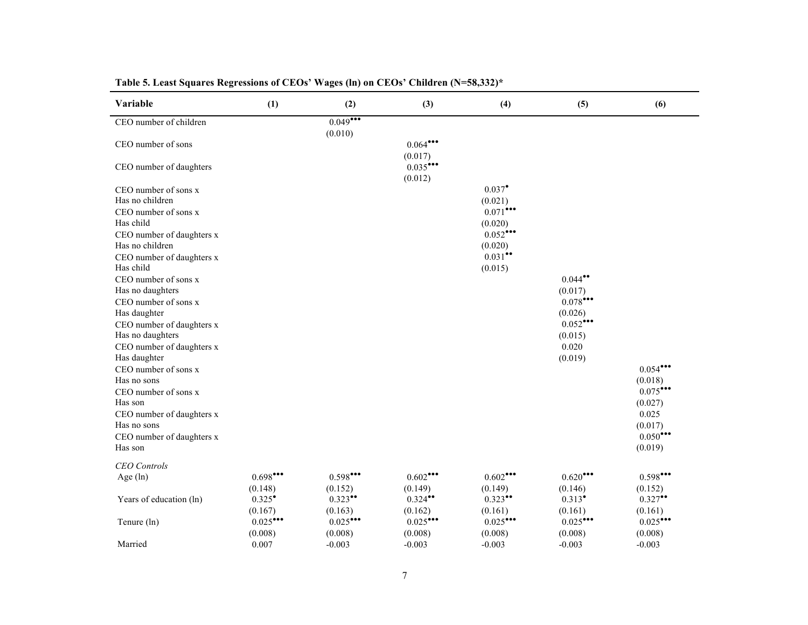| Variable                                      | (1)                        | (2)                    | (3)                    | (4)                             | (5)                              | (6)                             |
|-----------------------------------------------|----------------------------|------------------------|------------------------|---------------------------------|----------------------------------|---------------------------------|
| CEO number of children                        |                            | 0.049<br>(0.010)       |                        |                                 |                                  |                                 |
| CEO number of sons                            |                            |                        | $0.064$ ***<br>(0.017) |                                 |                                  |                                 |
| CEO number of daughters                       |                            |                        | $0.035$ ***<br>(0.012) |                                 |                                  |                                 |
| CEO number of sons x<br>Has no children       |                            |                        |                        | $0.037$ <sup>*</sup><br>(0.021) |                                  |                                 |
| CEO number of sons x<br>Has child             |                            |                        |                        | $0.071$ ***<br>(0.020)          |                                  |                                 |
| CEO number of daughters x<br>Has no children  |                            |                        |                        | $0.052$ ***<br>(0.020)          |                                  |                                 |
| CEO number of daughters x<br>Has child        |                            |                        |                        | $0.031$ **<br>(0.015)           |                                  |                                 |
| CEO number of sons x<br>Has no daughters      |                            |                        |                        |                                 | $0.044$ <sup>**</sup><br>(0.017) |                                 |
| CEO number of sons x<br>Has daughter          |                            |                        |                        |                                 | $0.078$ ***<br>(0.026)           |                                 |
| CEO number of daughters x<br>Has no daughters |                            |                        |                        |                                 | $0.052$ ***<br>(0.015)           |                                 |
| CEO number of daughters x<br>Has daughter     |                            |                        |                        |                                 | 0.020<br>(0.019)                 |                                 |
| CEO number of sons x<br>Has no sons           |                            |                        |                        |                                 |                                  | $0.054$ ***<br>(0.018)          |
| CEO number of sons x<br>Has son               |                            |                        |                        |                                 |                                  | $0.075$ ***<br>(0.027)          |
| CEO number of daughters x<br>Has no sons      |                            |                        |                        |                                 |                                  | 0.025<br>(0.017)<br>$0.050$ *** |
| CEO number of daughters x<br>Has son          |                            |                        |                        |                                 |                                  | (0.019)                         |
| <b>CEO</b> Controls<br>Age $(ln)$             | $0.698$ ***                | $0.598$ ***            | 0.602                  | 0.602                           | $0.620$ ***                      | $0.598$ ***                     |
|                                               | (0.148)                    | (0.152)                | (0.149)                | (0.149)                         | (0.146)                          | (0.152)                         |
| Years of education (ln)                       | $0.325^{\circ}$<br>(0.167) | $0.323$ **<br>(0.163)  | $0.324$ **<br>(0.162)  | $0.323$ **<br>(0.161)           | $0.313$ <sup>*</sup><br>(0.161)  | $0.327$ **<br>(0.161)           |
| Tenure (ln)                                   | $0.025$ ***<br>(0.008)     | $0.025$ ***<br>(0.008) | $0.025$ ***<br>(0.008) | $0.025$ ***<br>(0.008)          | $0.025$ ***<br>(0.008)           | $0.025$ ***<br>(0.008)          |
| Married                                       | 0.007                      | $-0.003$               | $-0.003$               | $-0.003$                        | $-0.003$                         | $-0.003$                        |

# **Table 5. Least Squares Regressions of CEOs' Wages (ln) on CEOs' Children (N=58,332)\***